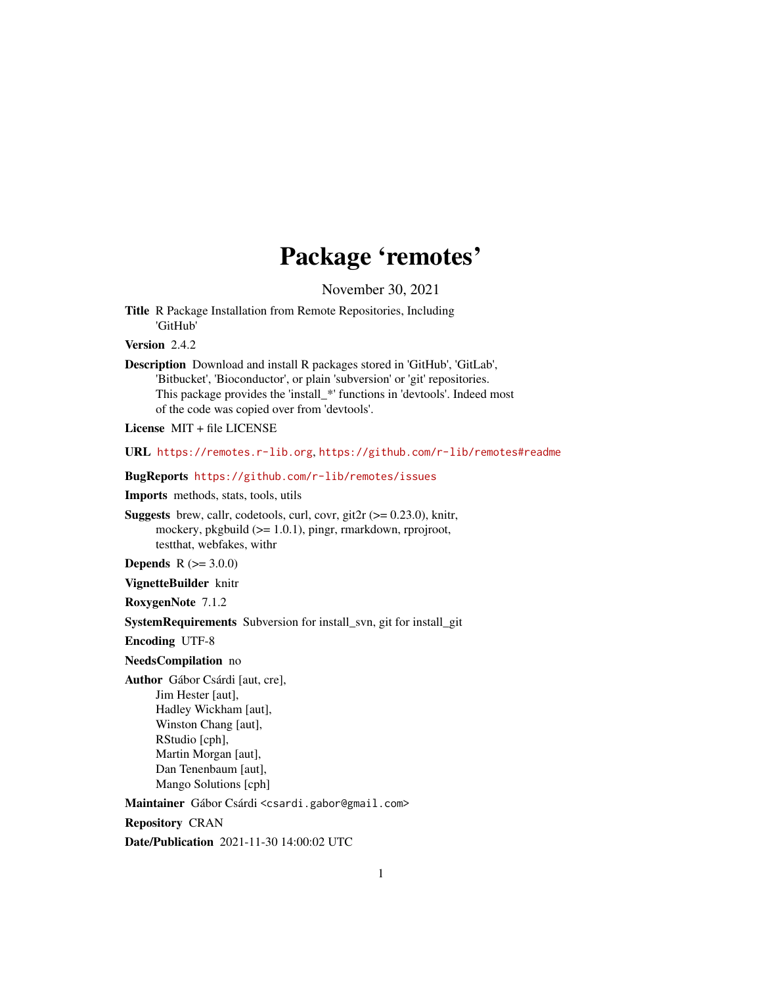## Package 'remotes'

November 30, 2021

<span id="page-0-0"></span>Title R Package Installation from Remote Repositories, Including 'GitHub'

Version 2.4.2

Description Download and install R packages stored in 'GitHub', 'GitLab', 'Bitbucket', 'Bioconductor', or plain 'subversion' or 'git' repositories. This package provides the 'install\_\*' functions in 'devtools'. Indeed most of the code was copied over from 'devtools'.

License MIT + file LICENSE

URL <https://remotes.r-lib.org>, <https://github.com/r-lib/remotes#readme>

BugReports <https://github.com/r-lib/remotes/issues>

Imports methods, stats, tools, utils

**Suggests** brew, callr, codetools, curl, covr, git2r ( $> = 0.23.0$ ), knitr, mockery, pkgbuild (>= 1.0.1), pingr, rmarkdown, rprojroot, testthat, webfakes, withr

**Depends**  $R (= 3.0.0)$ 

VignetteBuilder knitr

RoxygenNote 7.1.2

SystemRequirements Subversion for install\_svn, git for install\_git

Encoding UTF-8

### NeedsCompilation no

Author Gábor Csárdi [aut, cre], Jim Hester [aut], Hadley Wickham [aut], Winston Chang [aut], RStudio [cph], Martin Morgan [aut], Dan Tenenbaum [aut], Mango Solutions [cph]

Maintainer Gábor Csárdi <csardi.gabor@gmail.com>

Repository CRAN

Date/Publication 2021-11-30 14:00:02 UTC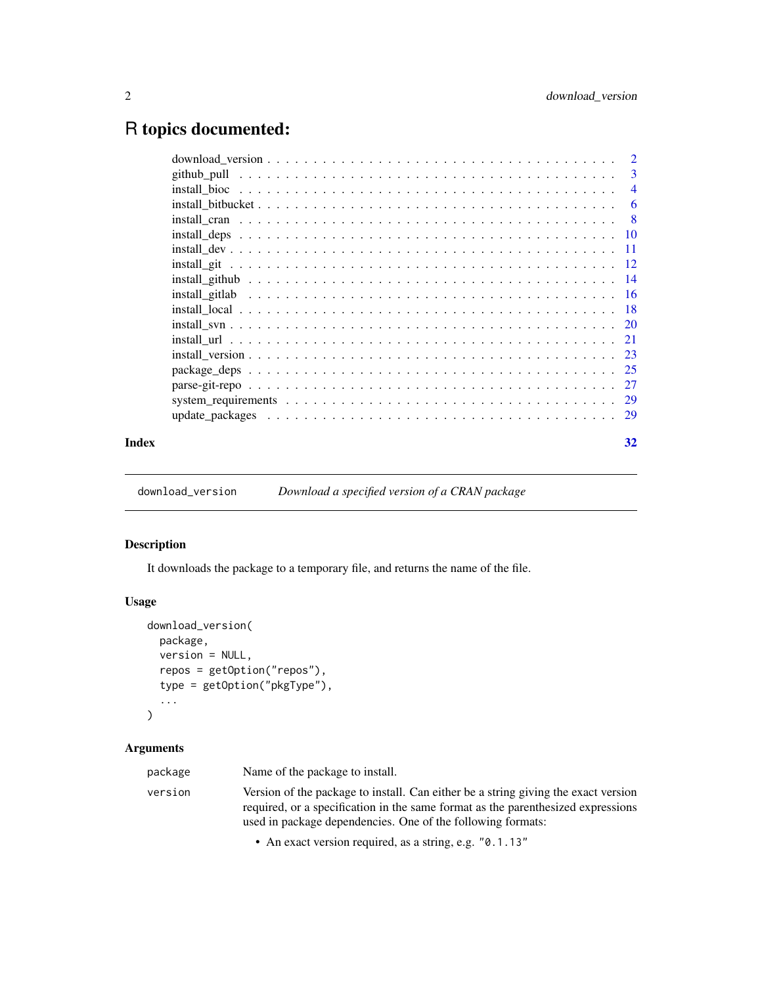## <span id="page-1-0"></span>R topics documented:

| Index | 32 |
|-------|----|

download\_version *Download a specified version of a CRAN package*

### Description

It downloads the package to a temporary file, and returns the name of the file.

### Usage

```
download_version(
  package,
  version = NULL,
  repos = getOption("repos"),
  type = getOption("pkgType"),
  ...
\mathcal{L}
```
### Arguments

| package | Name of the package to install.                                                                                                                                                                                                       |
|---------|---------------------------------------------------------------------------------------------------------------------------------------------------------------------------------------------------------------------------------------|
| version | Version of the package to install. Can either be a string giving the exact version<br>required, or a specification in the same format as the parenthesized expressions<br>used in package dependencies. One of the following formats: |

• An exact version required, as a string, e.g. "0.1.13"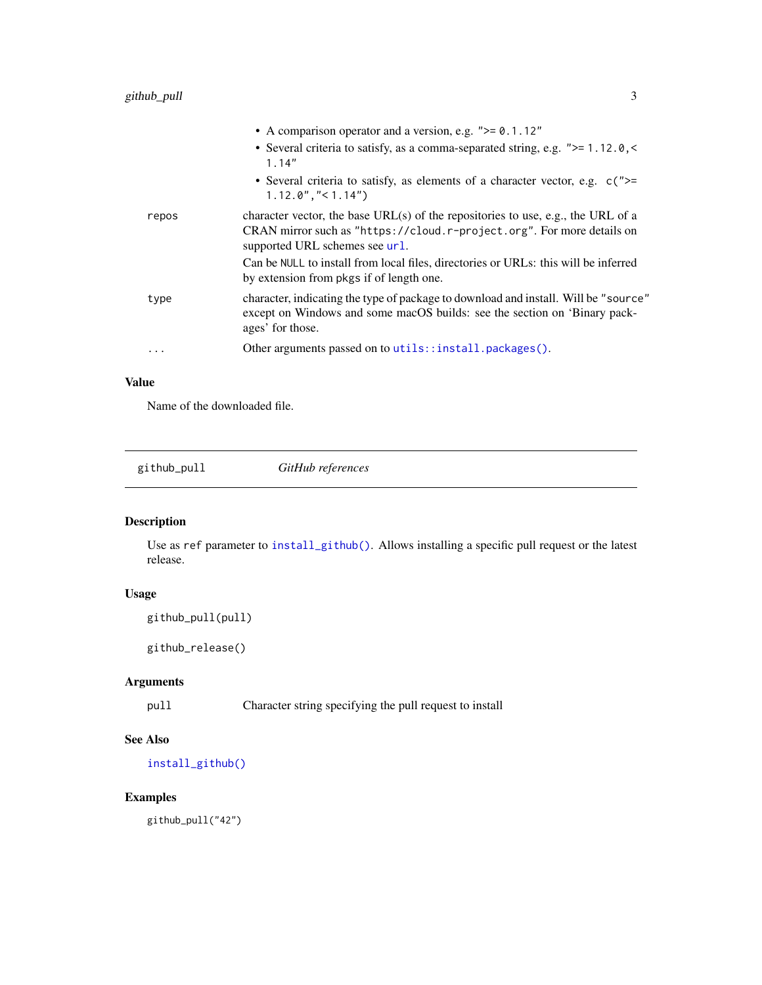<span id="page-2-0"></span>

|       | • A comparison operator and a version, e.g. $">= 0.1.12"$                                                                                                                                    |
|-------|----------------------------------------------------------------------------------------------------------------------------------------------------------------------------------------------|
|       | • Several criteria to satisfy, as a comma-separated string, e.g. $">= 1.12.0, <$<br>1.14"                                                                                                    |
|       | • Several criteria to satisfy, as elements of a character vector, e.g. $c$ (">=<br>$1.12.0$ ", "< $1.14$ ")                                                                                  |
| repos | character vector, the base URL(s) of the repositories to use, e.g., the URL of a<br>CRAN mirror such as "https://cloud.r-project.org". For more details on<br>supported URL schemes see url. |
|       | Can be NULL to install from local files, directories or URLs: this will be inferred<br>by extension from pkgs if of length one.                                                              |
| type  | character, indicating the type of package to download and install. Will be "source"<br>except on Windows and some macOS builds: see the section on 'Binary pack-<br>ages' for those.         |
| .     | Other arguments passed on to utils::install.packages().                                                                                                                                      |
|       |                                                                                                                                                                                              |

### Value

Name of the downloaded file.

<span id="page-2-1"></span>github\_pull *GitHub references*

### <span id="page-2-2"></span>Description

Use as ref parameter to [install\\_github\(\)](#page-13-1). Allows installing a specific pull request or the latest release.

### Usage

```
github_pull(pull)
```
github\_release()

### Arguments

pull Character string specifying the pull request to install

### See Also

[install\\_github\(\)](#page-13-1)

### Examples

github\_pull("42")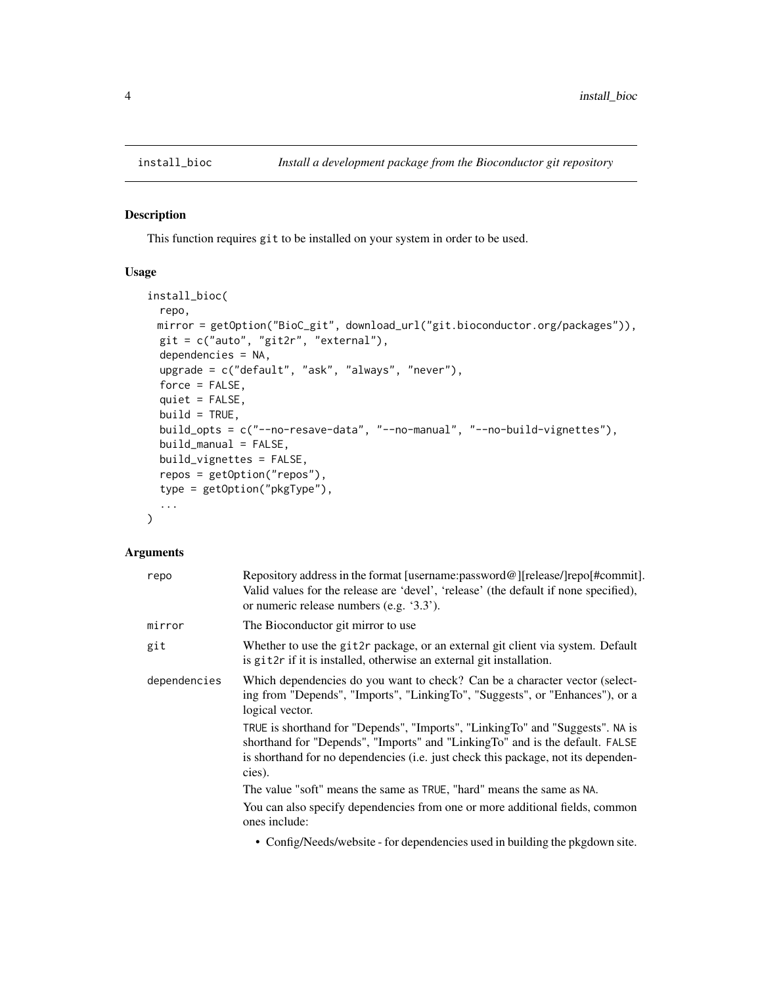#### Description

This function requires git to be installed on your system in order to be used.

### Usage

```
install_bioc(
 repo,
 mirror = getOption("BioC_git", download_url("git.bioconductor.org/packages")),
 git = c("auto", "git2r", "external"),
 dependencies = NA,
 upgrade = c("default", "ask", "always", "never"),
 force = FALSE,quiet = FALSE,
 build = TRUE,build_opts = c("--no-resave-data", "--no-manual", "--no-build-vignettes"),
 build_manual = FALSE,
 build_vignettes = FALSE,
 repos = getOption("repos"),
  type = getOption("pkgType"),
  ...
)
```
### Arguments

| repo         | Repository address in the format [username:password@][release/]repo[#commit].<br>Valid values for the release are 'devel', 'release' (the default if none specified),<br>or numeric release numbers (e.g. '3.3').                                            |
|--------------|--------------------------------------------------------------------------------------------------------------------------------------------------------------------------------------------------------------------------------------------------------------|
| mirror       | The Bioconductor git mirror to use                                                                                                                                                                                                                           |
| git          | Whether to use the git2r package, or an external git client via system. Default<br>is git2r if it is installed, otherwise an external git installation.                                                                                                      |
| dependencies | Which dependencies do you want to check? Can be a character vector (select-<br>ing from "Depends", "Imports", "LinkingTo", "Suggests", or "Enhances"), or a<br>logical vector.                                                                               |
|              | TRUE is shorthand for "Depends", "Imports", "LinkingTo" and "Suggests". NA is<br>shorthand for "Depends", "Imports" and "LinkingTo" and is the default. FALSE<br>is shorthand for no dependencies (i.e. just check this package, not its dependen-<br>cies). |
|              | The value "soft" means the same as TRUE, "hard" means the same as NA.                                                                                                                                                                                        |
|              | You can also specify dependencies from one or more additional fields, common<br>ones include:                                                                                                                                                                |
|              | . Canford Later definition for demanderation could be been the standard and other                                                                                                                                                                            |

• Config/Needs/website - for dependencies used in building the pkgdown site.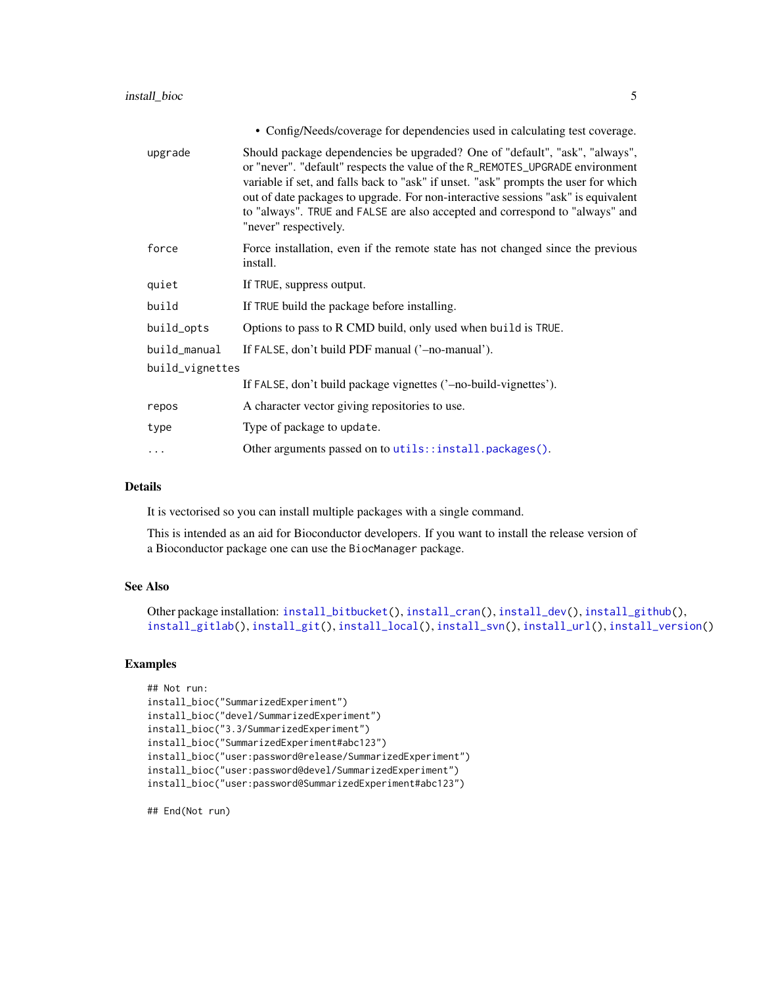<span id="page-4-0"></span>

| • Config/Needs/coverage for dependencies used in calculating test coverage.                                                                                                                                                                                                                                                                                                                                                                       |
|---------------------------------------------------------------------------------------------------------------------------------------------------------------------------------------------------------------------------------------------------------------------------------------------------------------------------------------------------------------------------------------------------------------------------------------------------|
| Should package dependencies be upgraded? One of "default", "ask", "always",<br>or "never". "default" respects the value of the R_REMOTES_UPGRADE environment<br>variable if set, and falls back to "ask" if unset. "ask" prompts the user for which<br>out of date packages to upgrade. For non-interactive sessions "ask" is equivalent<br>to "always". TRUE and FALSE are also accepted and correspond to "always" and<br>"never" respectively. |
| Force installation, even if the remote state has not changed since the previous<br>install.                                                                                                                                                                                                                                                                                                                                                       |
| If TRUE, suppress output.                                                                                                                                                                                                                                                                                                                                                                                                                         |
| If TRUE build the package before installing.                                                                                                                                                                                                                                                                                                                                                                                                      |
| Options to pass to R CMD build, only used when build is TRUE.                                                                                                                                                                                                                                                                                                                                                                                     |
| If FALSE, don't build PDF manual ('-no-manual').                                                                                                                                                                                                                                                                                                                                                                                                  |
| build_vignettes                                                                                                                                                                                                                                                                                                                                                                                                                                   |
| If FALSE, don't build package vignettes ('-no-build-vignettes').                                                                                                                                                                                                                                                                                                                                                                                  |
| A character vector giving repositories to use.                                                                                                                                                                                                                                                                                                                                                                                                    |
| Type of package to update.                                                                                                                                                                                                                                                                                                                                                                                                                        |
| Other arguments passed on to utils::install.packages().                                                                                                                                                                                                                                                                                                                                                                                           |
|                                                                                                                                                                                                                                                                                                                                                                                                                                                   |

### Details

It is vectorised so you can install multiple packages with a single command.

This is intended as an aid for Bioconductor developers. If you want to install the release version of a Bioconductor package one can use the BiocManager package.

### See Also

```
Other package installation: install_bitbucket(), install_cran(), install_dev(), install_github(),
install_gitlab(), install_git(), install_local(), install_svn(), install_url(), install_version()
```
### Examples

```
## Not run:
install_bioc("SummarizedExperiment")
install_bioc("devel/SummarizedExperiment")
install_bioc("3.3/SummarizedExperiment")
install_bioc("SummarizedExperiment#abc123")
install_bioc("user:password@release/SummarizedExperiment")
install_bioc("user:password@devel/SummarizedExperiment")
install_bioc("user:password@SummarizedExperiment#abc123")
```
## End(Not run)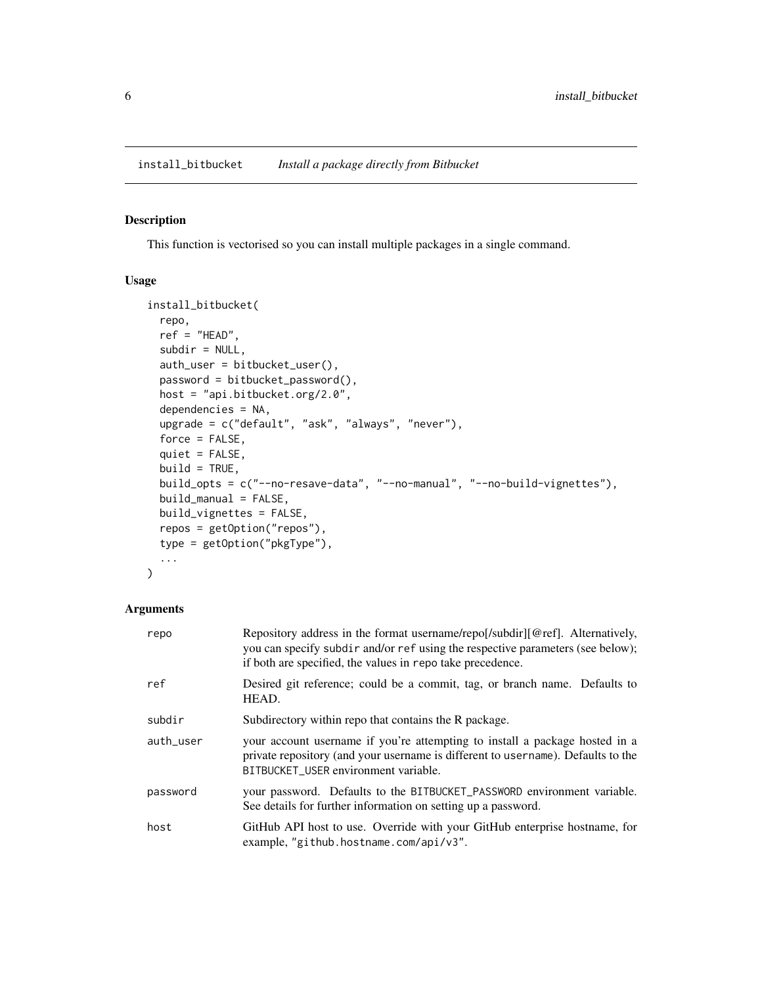### <span id="page-5-1"></span><span id="page-5-0"></span>Description

This function is vectorised so you can install multiple packages in a single command.

### Usage

```
install_bitbucket(
 repo,
 ref = "HEAD",subdir = NULL,auth_user = bitbucket_user(),
 password = bitbucket_password(),
 host = "api.bitbucket.org/2.0",
 dependencies = NA,
 upgrade = c("default", "ask", "always", "never"),
 force = FALSE,
 quiet = FALSE,
 build = TRUE,build_opts = c("--no-resave-data", "--no-manual", "--no-build-vignettes"),
 build_manual = FALSE,
 build_vignettes = FALSE,
 repos = getOption("repos"),
  type = getOption("pkgType"),
  ...
)
```

| repo      | Repository address in the format username/repo[/subdir][@ref]. Alternatively,<br>you can specify subdir and/or ref using the respective parameters (see below);<br>if both are specified, the values in repo take precedence. |
|-----------|-------------------------------------------------------------------------------------------------------------------------------------------------------------------------------------------------------------------------------|
| ref       | Desired git reference; could be a commit, tag, or branch name. Defaults to<br>HEAD.                                                                                                                                           |
| subdir    | Subdirectory within repo that contains the R package.                                                                                                                                                                         |
| auth_user | your account username if you're attempting to install a package hosted in a<br>private repository (and your username is different to username). Defaults to the<br>BITBUCKET_USER environment variable.                       |
| password  | your password. Defaults to the BITBUCKET_PASSWORD environment variable.<br>See details for further information on setting up a password.                                                                                      |
| host      | GitHub API host to use. Override with your GitHub enterprise hostname, for<br>example, "github.hostname.com/api/v3".                                                                                                          |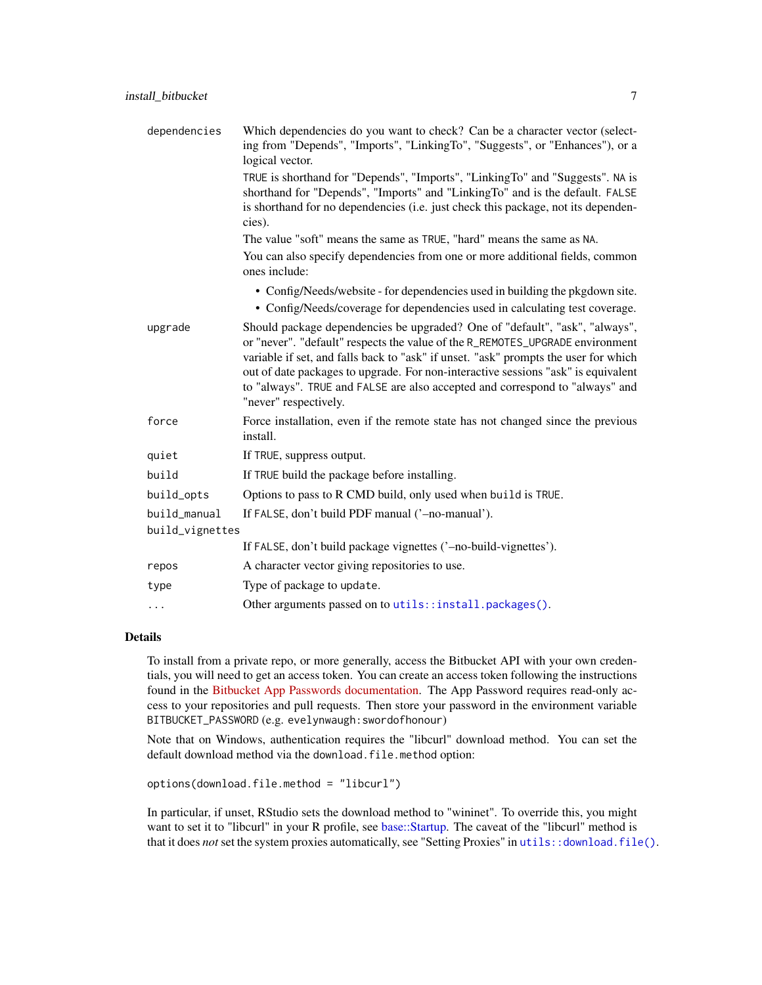<span id="page-6-0"></span>

| dependencies                    | Which dependencies do you want to check? Can be a character vector (select-<br>ing from "Depends", "Imports", "LinkingTo", "Suggests", or "Enhances"), or a<br>logical vector.                                                                                                                                                                                                                                                                    |
|---------------------------------|---------------------------------------------------------------------------------------------------------------------------------------------------------------------------------------------------------------------------------------------------------------------------------------------------------------------------------------------------------------------------------------------------------------------------------------------------|
|                                 | TRUE is shorthand for "Depends", "Imports", "LinkingTo" and "Suggests". NA is<br>shorthand for "Depends", "Imports" and "LinkingTo" and is the default. FALSE<br>is shorthand for no dependencies (i.e. just check this package, not its dependen-<br>cies).                                                                                                                                                                                      |
|                                 | The value "soft" means the same as TRUE, "hard" means the same as NA.                                                                                                                                                                                                                                                                                                                                                                             |
|                                 | You can also specify dependencies from one or more additional fields, common<br>ones include:                                                                                                                                                                                                                                                                                                                                                     |
|                                 | • Config/Needs/website - for dependencies used in building the pkgdown site.<br>• Config/Needs/coverage for dependencies used in calculating test coverage.                                                                                                                                                                                                                                                                                       |
| upgrade                         | Should package dependencies be upgraded? One of "default", "ask", "always",<br>or "never". "default" respects the value of the R_REMOTES_UPGRADE environment<br>variable if set, and falls back to "ask" if unset. "ask" prompts the user for which<br>out of date packages to upgrade. For non-interactive sessions "ask" is equivalent<br>to "always". TRUE and FALSE are also accepted and correspond to "always" and<br>"never" respectively. |
| force                           | Force installation, even if the remote state has not changed since the previous<br>install.                                                                                                                                                                                                                                                                                                                                                       |
| quiet                           | If TRUE, suppress output.                                                                                                                                                                                                                                                                                                                                                                                                                         |
| build                           | If TRUE build the package before installing.                                                                                                                                                                                                                                                                                                                                                                                                      |
| build_opts                      | Options to pass to R CMD build, only used when build is TRUE.                                                                                                                                                                                                                                                                                                                                                                                     |
| build_manual<br>build_vignettes | If FALSE, don't build PDF manual ('-no-manual').                                                                                                                                                                                                                                                                                                                                                                                                  |
|                                 | If FALSE, don't build package vignettes ('-no-build-vignettes').                                                                                                                                                                                                                                                                                                                                                                                  |
| repos                           | A character vector giving repositories to use.                                                                                                                                                                                                                                                                                                                                                                                                    |
| type                            | Type of package to update.                                                                                                                                                                                                                                                                                                                                                                                                                        |
| $\cdots$                        | Other arguments passed on to utils::install.packages().                                                                                                                                                                                                                                                                                                                                                                                           |

### Details

To install from a private repo, or more generally, access the Bitbucket API with your own credentials, you will need to get an access token. You can create an access token following the instructions found in the [Bitbucket App Passwords documentation.](https://support.atlassian.com/bitbucket-cloud/docs/app-passwords/) The App Password requires read-only access to your repositories and pull requests. Then store your password in the environment variable BITBUCKET\_PASSWORD (e.g. evelynwaugh:swordofhonour)

Note that on Windows, authentication requires the "libcurl" download method. You can set the default download method via the download.file.method option:

options(download.file.method = "libcurl")

In particular, if unset, RStudio sets the download method to "wininet". To override this, you might want to set it to "libcurl" in your R profile, see [base::Startup.](#page-0-0) The caveat of the "libcurl" method is that it does *not* set the system proxies automatically, see "Setting Proxies" in [utils::download.file\(\)](#page-0-0).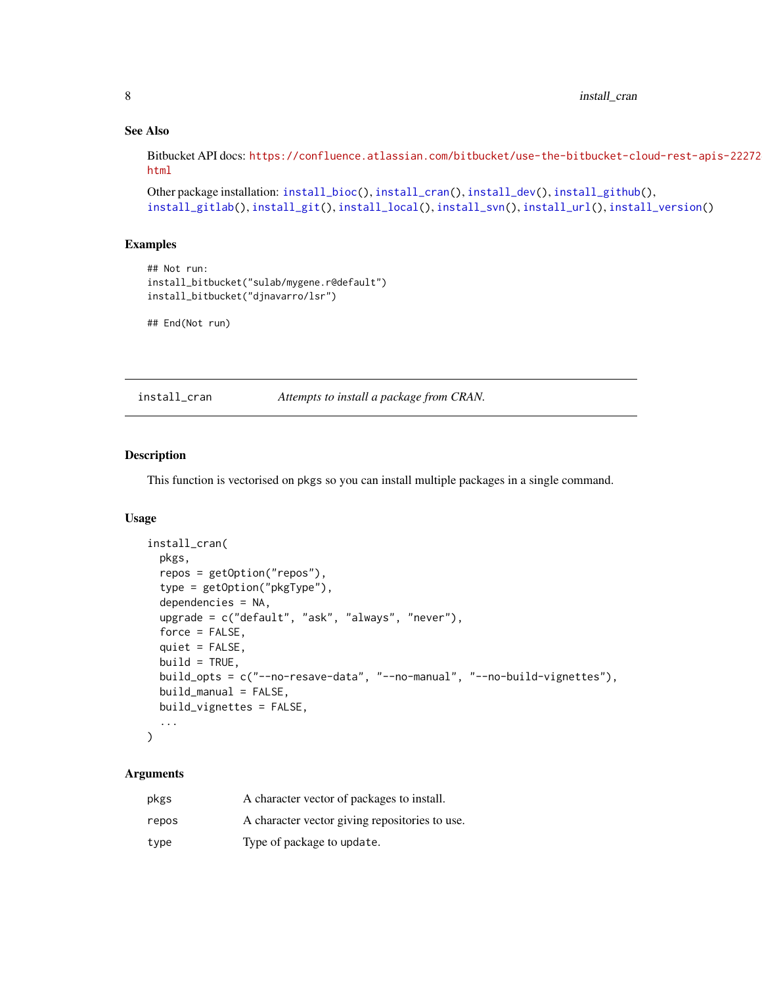### See Also

Bitbucket API docs: [https://confluence.atlassian.com/bitbucket/use-the-bitbucket-cl](https://confluence.atlassian.com/bitbucket/use-the-bitbucket-cloud-rest-apis-222724129.html)oud-rest-apis-22272 [html](https://confluence.atlassian.com/bitbucket/use-the-bitbucket-cloud-rest-apis-222724129.html)

```
Other package installation: install_bioc(), install_cran(), install_dev(), install_github(),
install_gitlab(install_git(install_local(install_svn(install_url(install_version()
```
### Examples

```
## Not run:
install_bitbucket("sulab/mygene.r@default")
install_bitbucket("djnavarro/lsr")
```
## End(Not run)

<span id="page-7-1"></span>install\_cran *Attempts to install a package from CRAN.*

#### Description

This function is vectorised on pkgs so you can install multiple packages in a single command.

### Usage

```
install_cran(
 pkgs,
  repos = getOption("repos"),
  type = getOption("pkgType"),
  dependencies = NA,
  upgrade = c("default", "ask", "always", "never"),
  force = FALSE,quiet = FALSE,
 build = TRUE,build_opts = c("--no-resave-data", "--no-manual", "--no-build-vignettes"),
 build_manual = FALSE,
 build_vignettes = FALSE,
  ...
```
### )

| pkgs  | A character vector of packages to install.     |
|-------|------------------------------------------------|
| repos | A character vector giving repositories to use. |
| type  | Type of package to update.                     |

<span id="page-7-0"></span>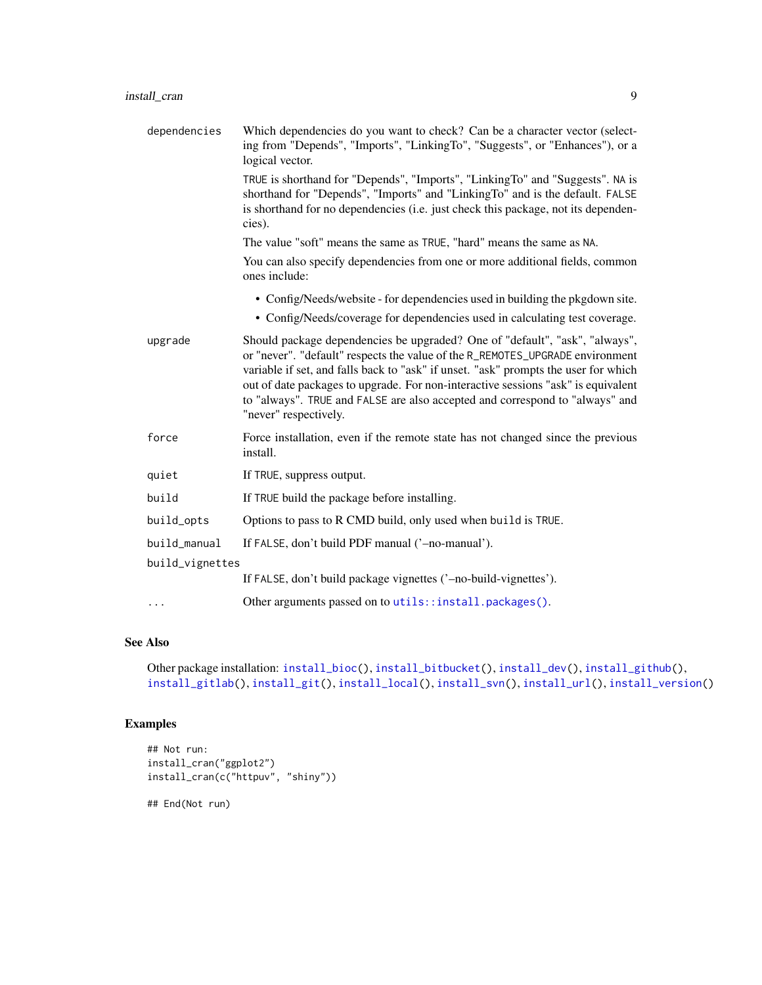<span id="page-8-0"></span>

| dependencies | Which dependencies do you want to check? Can be a character vector (select-<br>ing from "Depends", "Imports", "LinkingTo", "Suggests", or "Enhances"), or a<br>logical vector.                                                                                                                                                                                                                                                                    |
|--------------|---------------------------------------------------------------------------------------------------------------------------------------------------------------------------------------------------------------------------------------------------------------------------------------------------------------------------------------------------------------------------------------------------------------------------------------------------|
|              | TRUE is shorthand for "Depends", "Imports", "LinkingTo" and "Suggests". NA is<br>shorthand for "Depends", "Imports" and "LinkingTo" and is the default. FALSE<br>is shorthand for no dependencies (i.e. just check this package, not its dependen-<br>cies).                                                                                                                                                                                      |
|              | The value "soft" means the same as TRUE, "hard" means the same as NA.                                                                                                                                                                                                                                                                                                                                                                             |
|              | You can also specify dependencies from one or more additional fields, common<br>ones include:                                                                                                                                                                                                                                                                                                                                                     |
|              | • Config/Needs/website - for dependencies used in building the pkgdown site.<br>• Config/Needs/coverage for dependencies used in calculating test coverage.                                                                                                                                                                                                                                                                                       |
| upgrade      | Should package dependencies be upgraded? One of "default", "ask", "always",<br>or "never". "default" respects the value of the R_REMOTES_UPGRADE environment<br>variable if set, and falls back to "ask" if unset. "ask" prompts the user for which<br>out of date packages to upgrade. For non-interactive sessions "ask" is equivalent<br>to "always". TRUE and FALSE are also accepted and correspond to "always" and<br>"never" respectively. |

- force Force installation, even if the remote state has not changed since the previous install.
- quiet If TRUE, suppress output.

build If TRUE build the package before installing.

build\_opts Options to pass to R CMD build, only used when build is TRUE.

```
build_manual If FALSE, don't build PDF manual ('-no-manual').
```
build\_vignettes

If FALSE, don't build package vignettes ('–no-build-vignettes').

... Other arguments passed on to [utils::install.packages\(\)](#page-0-0).

### See Also

```
Other package installation: install_bioc(), install_bitbucket(), install_dev(), install_github(),
install_gitlab(), install_git(), install_local(), install_svn(), install_url(), install_version()
```
### Examples

```
## Not run:
install_cran("ggplot2")
install_cran(c("httpuv", "shiny"))
```
## End(Not run)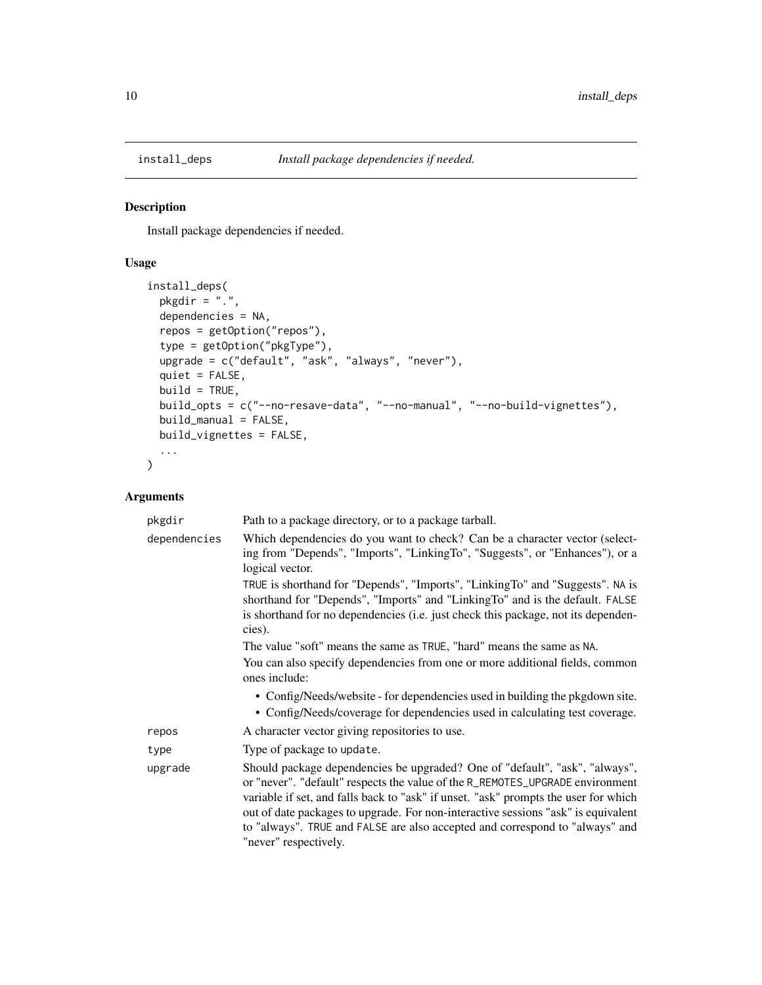<span id="page-9-0"></span>

### Description

Install package dependencies if needed.

### Usage

```
install_deps(
 pkgdir = ".'',dependencies = NA,
  repos = getOption("repos"),
  type = getOption("pkgType"),
 upgrade = c("default", "ask", "always", "never"),
  quiet = FALSE,
 build = TRUE,build_opts = c("--no-resave-data", "--no-manual", "--no-build-vignettes"),
 build_manual = FALSE,
 build_vignettes = FALSE,
  ...
\mathcal{L}
```

| pkgdir       | Path to a package directory, or to a package tarball.                                                                                                                                                                                                                                                                                                                                                                                             |
|--------------|---------------------------------------------------------------------------------------------------------------------------------------------------------------------------------------------------------------------------------------------------------------------------------------------------------------------------------------------------------------------------------------------------------------------------------------------------|
| dependencies | Which dependencies do you want to check? Can be a character vector (select-<br>ing from "Depends", "Imports", "LinkingTo", "Suggests", or "Enhances"), or a<br>logical vector.                                                                                                                                                                                                                                                                    |
|              | TRUE is shorthand for "Depends", "Imports", "LinkingTo" and "Suggests". NA is<br>shorthand for "Depends", "Imports" and "LinkingTo" and is the default. FALSE<br>is shorthand for no dependencies (i.e. just check this package, not its dependen-<br>cies).                                                                                                                                                                                      |
|              | The value "soft" means the same as TRUE, "hard" means the same as NA.                                                                                                                                                                                                                                                                                                                                                                             |
|              | You can also specify dependencies from one or more additional fields, common<br>ones include:                                                                                                                                                                                                                                                                                                                                                     |
|              | • Config/Needs/website - for dependencies used in building the pkgdown site.<br>• Config/Needs/coverage for dependencies used in calculating test coverage.                                                                                                                                                                                                                                                                                       |
| repos        | A character vector giving repositories to use.                                                                                                                                                                                                                                                                                                                                                                                                    |
| type         | Type of package to update.                                                                                                                                                                                                                                                                                                                                                                                                                        |
| upgrade      | Should package dependencies be upgraded? One of "default", "ask", "always",<br>or "never". "default" respects the value of the R_REMOTES_UPGRADE environment<br>variable if set, and falls back to "ask" if unset. "ask" prompts the user for which<br>out of date packages to upgrade. For non-interactive sessions "ask" is equivalent<br>to "always". TRUE and FALSE are also accepted and correspond to "always" and<br>"never" respectively. |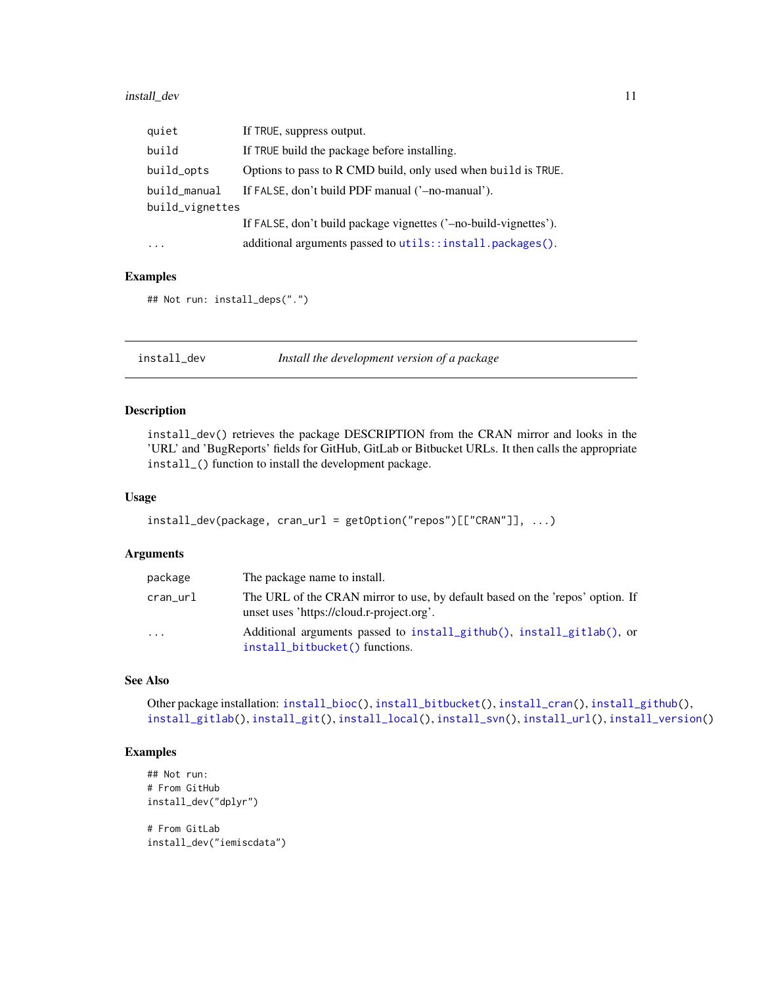### <span id="page-10-0"></span>install\_dev 11

| quiet           | If TRUE, suppress output.                                        |  |
|-----------------|------------------------------------------------------------------|--|
| build           | If TRUE build the package before installing.                     |  |
| build_opts      | Options to pass to R CMD build, only used when build is TRUE.    |  |
| build_manual    | If FALSE, don't build PDF manual ('-no-manual').                 |  |
| build_vignettes |                                                                  |  |
|                 | If FALSE, don't build package vignettes ('-no-build-vignettes'). |  |
| $\cdots$        | additional arguments passed to utils::install.packages().        |  |

### Examples

## Not run: install\_deps(".")

<span id="page-10-1"></span>install\_dev *Install the development version of a package*

### Description

install\_dev() retrieves the package DESCRIPTION from the CRAN mirror and looks in the 'URL' and 'BugReports' fields for GitHub, GitLab or Bitbucket URLs. It then calls the appropriate install\_() function to install the development package.

### Usage

```
install_dev(package, cran_url = getOption("repos")[["CRAN"]], ...)
```
### Arguments

| package  | The package name to install.                                                                                               |
|----------|----------------------------------------------------------------------------------------------------------------------------|
| cran_url | The URL of the CRAN mirror to use, by default based on the 'repos' option. If<br>unset uses 'https://cloud.r-project.org'. |
| .        | Additional arguments passed to install_github(), install_gitlab(), or<br>install_bitbucket() functions.                    |

### See Also

Other package installation: [install\\_bioc\(](#page-3-1)), [install\\_bitbucket\(](#page-5-1)), [install\\_cran\(](#page-7-1)), [install\\_github\(](#page-13-1)), [install\\_gitlab\(](#page-15-1)), [install\\_git\(](#page-11-1)), [install\\_local\(](#page-17-1)), [install\\_svn\(](#page-19-1)), [install\\_url\(](#page-20-1)), [install\\_version\(](#page-22-1))

### Examples

```
## Not run:
# From GitHub
install_dev("dplyr")
# From GitLab
```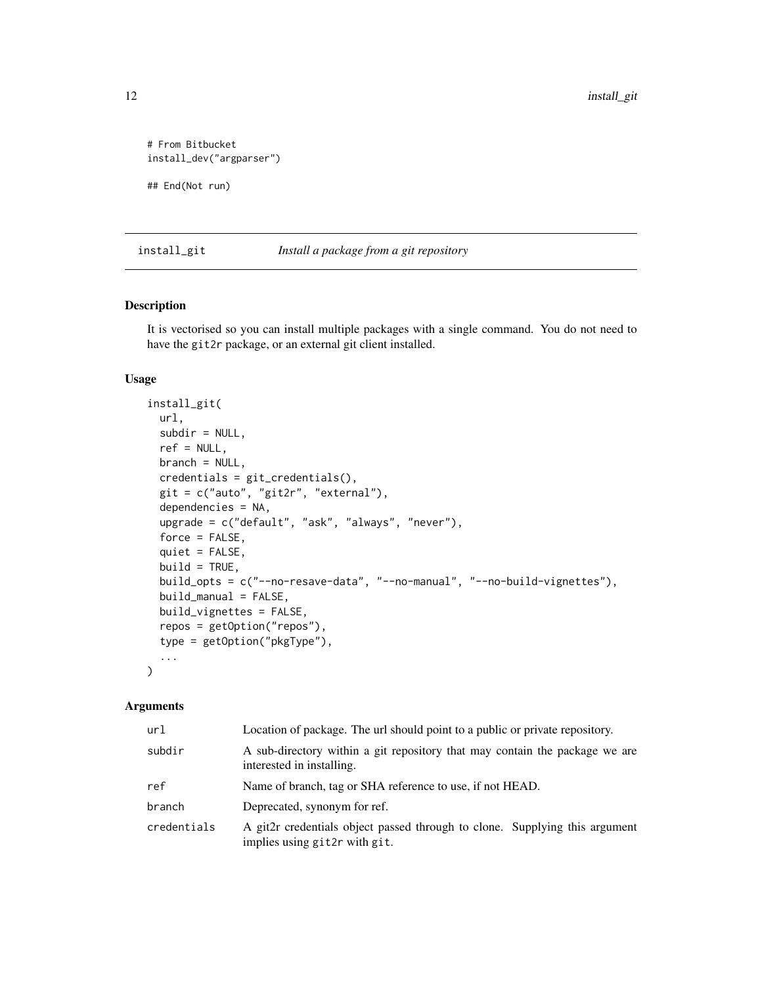```
# From Bitbucket
install_dev("argparser")
```
## End(Not run)

<span id="page-11-1"></span>install\_git *Install a package from a git repository*

### Description

It is vectorised so you can install multiple packages with a single command. You do not need to have the git2r package, or an external git client installed.

### Usage

```
install_git(
 url,
  subdir = NULL,ref = NULL,
 branch = NULL,
 credentials = git_credentials(),
  git = c("auto", "git2r", "external"),
  dependencies = NA,
  upgrade = c("default", "ask", "always", "never"),
  force = FALSE,
  quiet = FALSE,
 build = TRUE,build_opts = c("--no-resave-data", "--no-manual", "--no-build-vignettes"),
 build_manual = FALSE,
 build_vignettes = FALSE,
  repos = getOption("repos"),
  type = getOption("pkgType"),
  ...
)
```

| url         | Location of package. The url should point to a public or private repository.                                 |  |
|-------------|--------------------------------------------------------------------------------------------------------------|--|
| subdir      | A sub-directory within a git repository that may contain the package we are<br>interested in installing.     |  |
| ref         | Name of branch, tag or SHA reference to use, if not HEAD.                                                    |  |
| branch      | Deprecated, synonym for ref.                                                                                 |  |
| credentials | A git2r credentials object passed through to clone. Supplying this argument<br>implies using git2r with git. |  |

<span id="page-11-0"></span>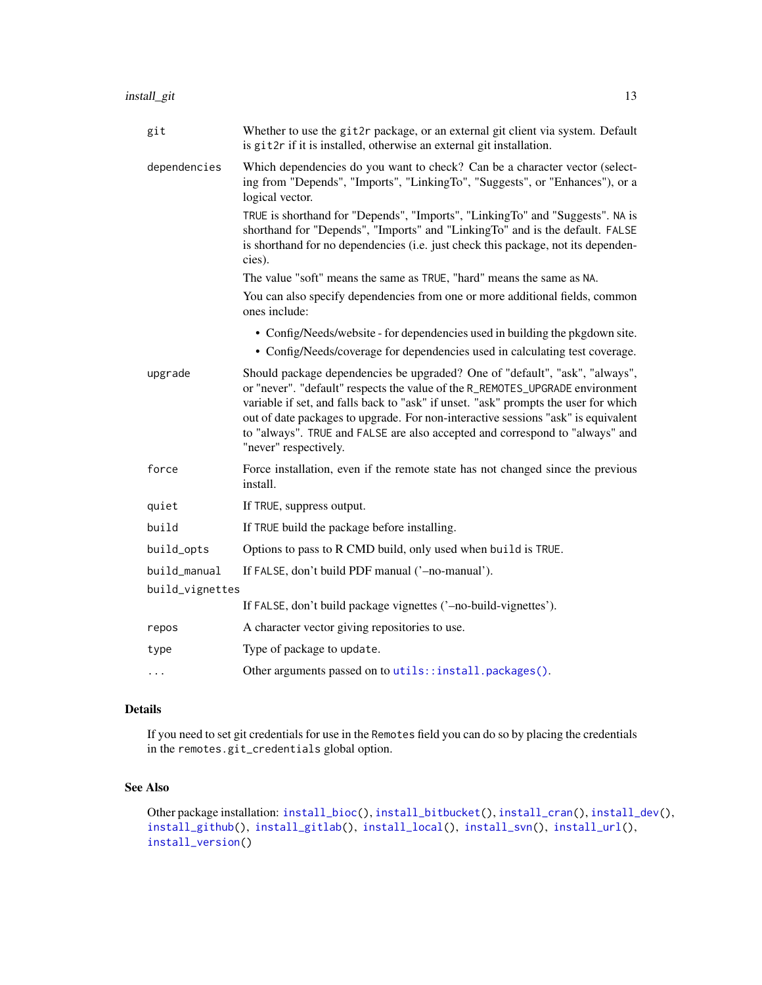<span id="page-12-0"></span>

| git             | Whether to use the git2r package, or an external git client via system. Default<br>is git2r if it is installed, otherwise an external git installation.                                                                                                                                                                                                                                                                                           |  |
|-----------------|---------------------------------------------------------------------------------------------------------------------------------------------------------------------------------------------------------------------------------------------------------------------------------------------------------------------------------------------------------------------------------------------------------------------------------------------------|--|
| dependencies    | Which dependencies do you want to check? Can be a character vector (select-<br>ing from "Depends", "Imports", "LinkingTo", "Suggests", or "Enhances"), or a<br>logical vector.                                                                                                                                                                                                                                                                    |  |
|                 | TRUE is shorthand for "Depends", "Imports", "LinkingTo" and "Suggests". NA is<br>shorthand for "Depends", "Imports" and "LinkingTo" and is the default. FALSE<br>is shorthand for no dependencies (i.e. just check this package, not its dependen-<br>cies).                                                                                                                                                                                      |  |
|                 | The value "soft" means the same as TRUE, "hard" means the same as NA.                                                                                                                                                                                                                                                                                                                                                                             |  |
|                 | You can also specify dependencies from one or more additional fields, common<br>ones include:                                                                                                                                                                                                                                                                                                                                                     |  |
|                 | • Config/Needs/website - for dependencies used in building the pkgdown site.<br>• Config/Needs/coverage for dependencies used in calculating test coverage.                                                                                                                                                                                                                                                                                       |  |
| upgrade         | Should package dependencies be upgraded? One of "default", "ask", "always",<br>or "never". "default" respects the value of the R_REMOTES_UPGRADE environment<br>variable if set, and falls back to "ask" if unset. "ask" prompts the user for which<br>out of date packages to upgrade. For non-interactive sessions "ask" is equivalent<br>to "always". TRUE and FALSE are also accepted and correspond to "always" and<br>"never" respectively. |  |
| force           | Force installation, even if the remote state has not changed since the previous<br>install.                                                                                                                                                                                                                                                                                                                                                       |  |
| quiet           | If TRUE, suppress output.                                                                                                                                                                                                                                                                                                                                                                                                                         |  |
| build           | If TRUE build the package before installing.                                                                                                                                                                                                                                                                                                                                                                                                      |  |
| build_opts      | Options to pass to R CMD build, only used when build is TRUE.                                                                                                                                                                                                                                                                                                                                                                                     |  |
| build_manual    | If FALSE, don't build PDF manual ('-no-manual').                                                                                                                                                                                                                                                                                                                                                                                                  |  |
| build_vignettes |                                                                                                                                                                                                                                                                                                                                                                                                                                                   |  |
|                 | If FALSE, don't build package vignettes ('-no-build-vignettes').                                                                                                                                                                                                                                                                                                                                                                                  |  |
| repos           | A character vector giving repositories to use.                                                                                                                                                                                                                                                                                                                                                                                                    |  |
| type            | Type of package to update.                                                                                                                                                                                                                                                                                                                                                                                                                        |  |
| .               | Other arguments passed on to utils::install.packages().                                                                                                                                                                                                                                                                                                                                                                                           |  |

### Details

If you need to set git credentials for use in the Remotes field you can do so by placing the credentials in the remotes.git\_credentials global option.

### See Also

Other package installation: [install\\_bioc\(](#page-3-1)), [install\\_bitbucket\(](#page-5-1)), [install\\_cran\(](#page-7-1)), [install\\_dev\(](#page-10-1)), [install\\_github\(](#page-13-1)), [install\\_gitlab\(](#page-15-1)), [install\\_local\(](#page-17-1)), [install\\_svn\(](#page-19-1)), [install\\_url\(](#page-20-1)), [install\\_version\(](#page-22-1))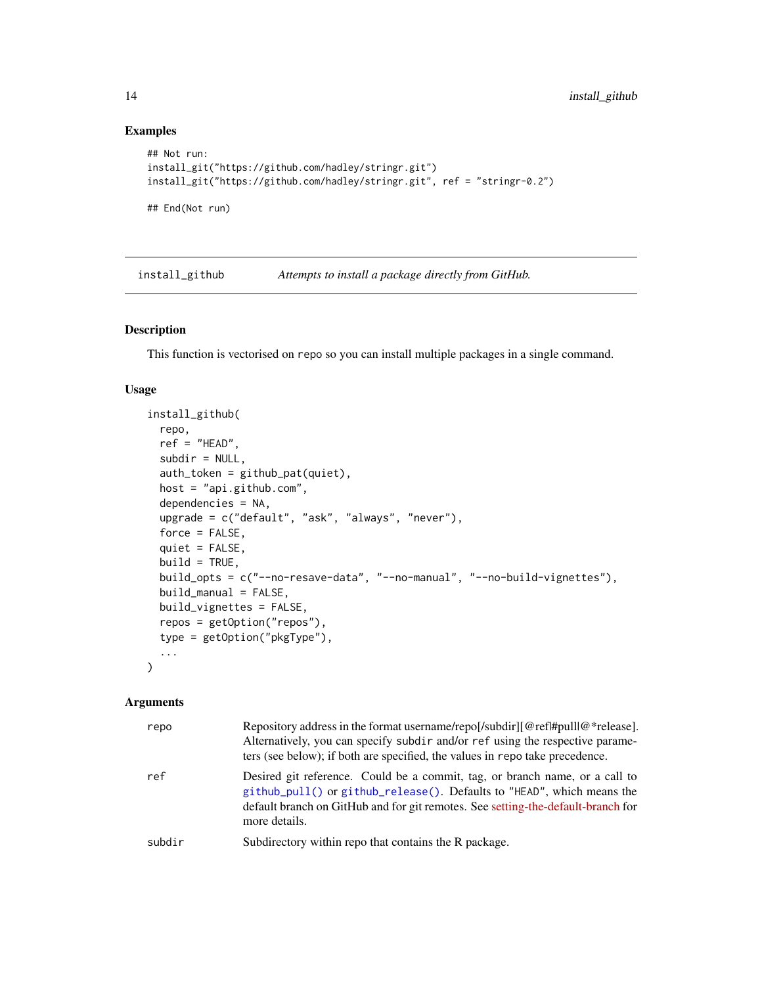### Examples

```
## Not run:
install_git("https://github.com/hadley/stringr.git")
install_git("https://github.com/hadley/stringr.git", ref = "stringr-0.2")
## End(Not run)
```
<span id="page-13-1"></span>install\_github *Attempts to install a package directly from GitHub.*

### Description

This function is vectorised on repo so you can install multiple packages in a single command.

### Usage

```
install_github(
  repo,
  ref = "HEAD",subdir = NULL,auth_token = github_pat(quiet),
 host = "api.github.com",
  dependencies = NA,
  upgrade = c("default", "ask", "always", "never"),
  force = FALSE,
  quiet = FALSE,
 build = TRUE,build_opts = c("--no-resave-data", "--no-manual", "--no-build-vignettes"),
 build_manual = FALSE,
 build_vignettes = FALSE,
  repos = getOption("repos"),
  type = getOption("pkgType"),
  ...
\mathcal{L}
```

| repo   | Repository address in the format username/repol/subdirlessment mediator *release.<br>Alternatively, you can specify subdir and/or ref using the respective parame-<br>ters (see below); if both are specified, the values in repo take precedence.         |  |
|--------|------------------------------------------------------------------------------------------------------------------------------------------------------------------------------------------------------------------------------------------------------------|--|
| ref    | Desired git reference. Could be a commit, tag, or branch name, or a call to<br>github_pull() or github_release(). Defaults to "HEAD", which means the<br>default branch on GitHub and for git remotes. See setting-the-default-branch for<br>more details. |  |
| subdir | Subdirectory within repo that contains the R package.                                                                                                                                                                                                      |  |

<span id="page-13-0"></span>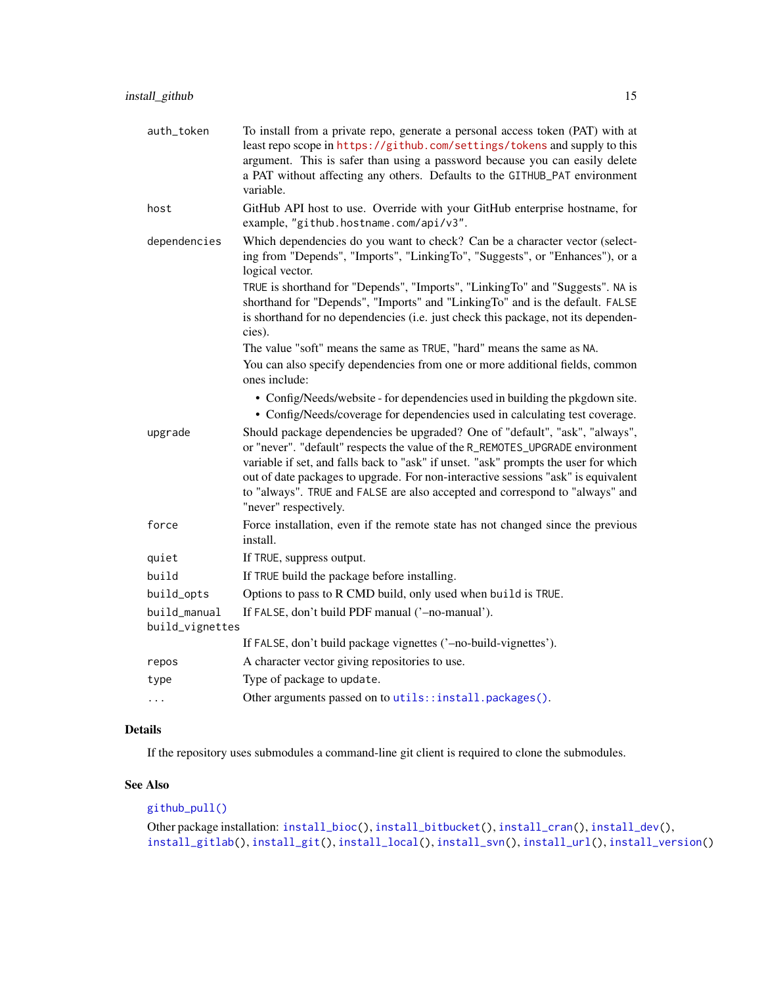<span id="page-14-0"></span>

| auth_token      | To install from a private repo, generate a personal access token (PAT) with at<br>least repo scope in https://github.com/settings/tokens and supply to this<br>argument. This is safer than using a password because you can easily delete<br>a PAT without affecting any others. Defaults to the GITHUB_PAT environment<br>variable.                                                                                                             |  |
|-----------------|---------------------------------------------------------------------------------------------------------------------------------------------------------------------------------------------------------------------------------------------------------------------------------------------------------------------------------------------------------------------------------------------------------------------------------------------------|--|
| host            | GitHub API host to use. Override with your GitHub enterprise hostname, for<br>example, "github.hostname.com/api/v3".                                                                                                                                                                                                                                                                                                                              |  |
| dependencies    | Which dependencies do you want to check? Can be a character vector (select-<br>ing from "Depends", "Imports", "LinkingTo", "Suggests", or "Enhances"), or a<br>logical vector.                                                                                                                                                                                                                                                                    |  |
|                 | TRUE is shorthand for "Depends", "Imports", "LinkingTo" and "Suggests". NA is<br>shorthand for "Depends", "Imports" and "LinkingTo" and is the default. FALSE<br>is shorthand for no dependencies (i.e. just check this package, not its dependen-<br>cies).                                                                                                                                                                                      |  |
|                 | The value "soft" means the same as TRUE, "hard" means the same as NA.                                                                                                                                                                                                                                                                                                                                                                             |  |
|                 | You can also specify dependencies from one or more additional fields, common<br>ones include:                                                                                                                                                                                                                                                                                                                                                     |  |
|                 | • Config/Needs/website - for dependencies used in building the pkgdown site.<br>• Config/Needs/coverage for dependencies used in calculating test coverage.                                                                                                                                                                                                                                                                                       |  |
| upgrade         | Should package dependencies be upgraded? One of "default", "ask", "always",<br>or "never". "default" respects the value of the R_REMOTES_UPGRADE environment<br>variable if set, and falls back to "ask" if unset. "ask" prompts the user for which<br>out of date packages to upgrade. For non-interactive sessions "ask" is equivalent<br>to "always". TRUE and FALSE are also accepted and correspond to "always" and<br>"never" respectively. |  |
| force           | Force installation, even if the remote state has not changed since the previous<br>install.                                                                                                                                                                                                                                                                                                                                                       |  |
| quiet           | If TRUE, suppress output.                                                                                                                                                                                                                                                                                                                                                                                                                         |  |
| build           | If TRUE build the package before installing.                                                                                                                                                                                                                                                                                                                                                                                                      |  |
| build_opts      | Options to pass to R CMD build, only used when build is TRUE.                                                                                                                                                                                                                                                                                                                                                                                     |  |
| build_manual    | If FALSE, don't build PDF manual ('-no-manual').                                                                                                                                                                                                                                                                                                                                                                                                  |  |
| build_vignettes |                                                                                                                                                                                                                                                                                                                                                                                                                                                   |  |
|                 | If FALSE, don't build package vignettes ('-no-build-vignettes').                                                                                                                                                                                                                                                                                                                                                                                  |  |
| repos           | A character vector giving repositories to use.                                                                                                                                                                                                                                                                                                                                                                                                    |  |
| type            | Type of package to update.                                                                                                                                                                                                                                                                                                                                                                                                                        |  |
| .               | Other arguments passed on to utils::install.packages().                                                                                                                                                                                                                                                                                                                                                                                           |  |

### Details

If the repository uses submodules a command-line git client is required to clone the submodules.

### See Also

### [github\\_pull\(\)](#page-2-1)

```
Other package installation: install_bioc(), install_bitbucket(), install_cran(), install_dev(),
install_gitlab(), install_git(), install_local(), install_svn(), install_url(), install_version()
```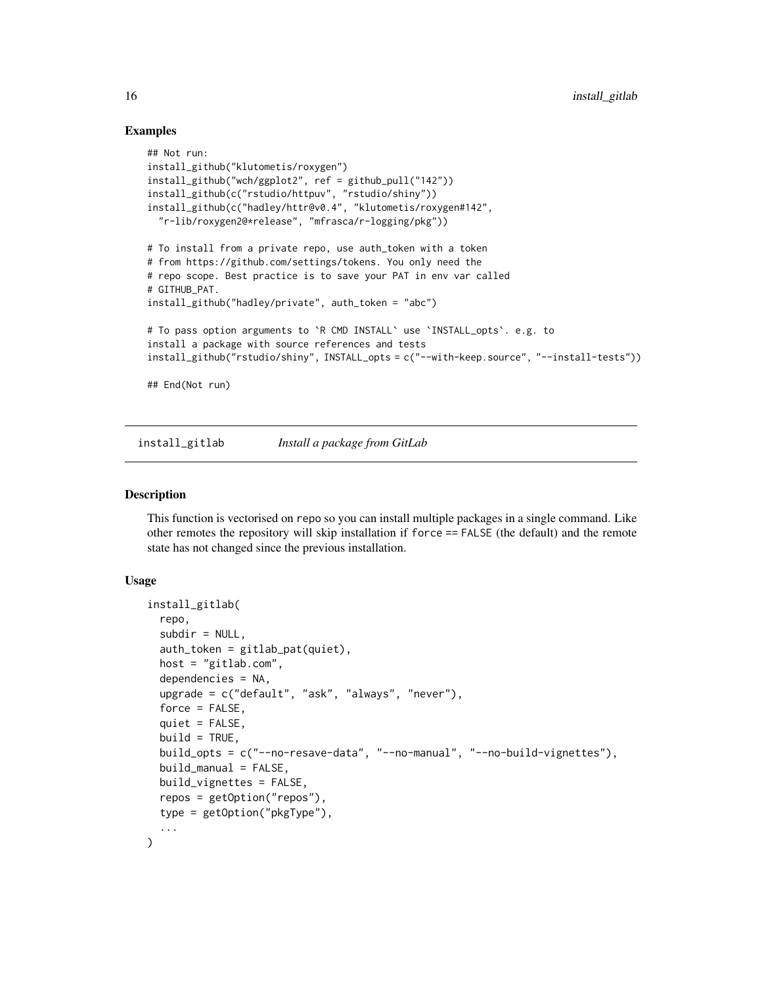### Examples

```
## Not run:
install_github("klutometis/roxygen")
install_github("wch/ggplot2", ref = github_pull("142"))
install_github(c("rstudio/httpuv", "rstudio/shiny"))
install_github(c("hadley/httr@v0.4", "klutometis/roxygen#142",
  "r-lib/roxygen2@*release", "mfrasca/r-logging/pkg"))
# To install from a private repo, use auth_token with a token
# from https://github.com/settings/tokens. You only need the
# repo scope. Best practice is to save your PAT in env var called
# GITHUB_PAT.
install_github("hadley/private", auth_token = "abc")
# To pass option arguments to `R CMD INSTALL` use `INSTALL_opts`. e.g. to
install a package with source references and tests
install_github("rstudio/shiny", INSTALL_opts = c("--with-keep.source", "--install-tests"))
## End(Not run)
```
<span id="page-15-1"></span>install\_gitlab *Install a package from GitLab*

### **Description**

This function is vectorised on repo so you can install multiple packages in a single command. Like other remotes the repository will skip installation if force == FALSE (the default) and the remote state has not changed since the previous installation.

### Usage

```
install_gitlab(
  repo,
  subdir = NULL,auth_token = gitlab_pat(quiet),
  host = "gitlab.com",
  dependencies = NA,
  upgrade = c("default", "ask", "always", "never"),
  force = FALSE,quiet = FALSE,build = TRUE,build_opts = c("--no-resave-data", "--no-manual", "--no-build-vignettes"),
  build\_manual = FALSE,
 build_vignettes = FALSE,
  repos = getOption("repos"),
  type = getOption("pkgType"),
  ...
)
```
<span id="page-15-0"></span>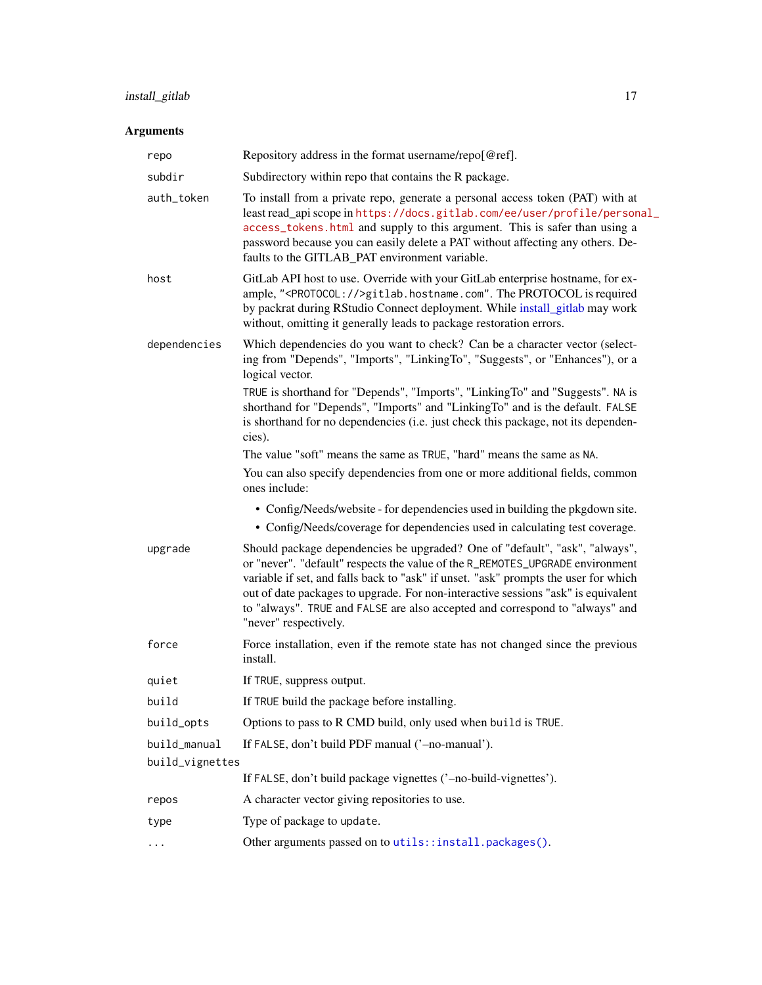### <span id="page-16-0"></span>install\_gitlab 17

| repo                                                                                                                                                                                                                                                                                                                                                                                        | Repository address in the format username/repo[@ref].                                                                                                                                                                                                                                                                                                                                                                                             |  |
|---------------------------------------------------------------------------------------------------------------------------------------------------------------------------------------------------------------------------------------------------------------------------------------------------------------------------------------------------------------------------------------------|---------------------------------------------------------------------------------------------------------------------------------------------------------------------------------------------------------------------------------------------------------------------------------------------------------------------------------------------------------------------------------------------------------------------------------------------------|--|
| subdir                                                                                                                                                                                                                                                                                                                                                                                      | Subdirectory within repo that contains the R package.                                                                                                                                                                                                                                                                                                                                                                                             |  |
| To install from a private repo, generate a personal access token (PAT) with at<br>auth_token<br>least read_api scope in https://docs.gitlab.com/ee/user/profile/personal_<br>access_tokens.html and supply to this argument. This is safer than using a<br>password because you can easily delete a PAT without affecting any others. De-<br>faults to the GITLAB_PAT environment variable. |                                                                                                                                                                                                                                                                                                                                                                                                                                                   |  |
| host                                                                                                                                                                                                                                                                                                                                                                                        | GitLab API host to use. Override with your GitLab enterprise hostname, for ex-<br>ample, " <protocol:></protocol:> gitlab.hostname.com". The PROTOCOL is required<br>by packrat during RStudio Connect deployment. While install_gitlab may work<br>without, omitting it generally leads to package restoration errors.                                                                                                                           |  |
| dependencies                                                                                                                                                                                                                                                                                                                                                                                | Which dependencies do you want to check? Can be a character vector (select-<br>ing from "Depends", "Imports", "LinkingTo", "Suggests", or "Enhances"), or a<br>logical vector.                                                                                                                                                                                                                                                                    |  |
|                                                                                                                                                                                                                                                                                                                                                                                             | TRUE is shorthand for "Depends", "Imports", "LinkingTo" and "Suggests". NA is<br>shorthand for "Depends", "Imports" and "LinkingTo" and is the default. FALSE<br>is shorthand for no dependencies (i.e. just check this package, not its dependen-<br>cies).                                                                                                                                                                                      |  |
|                                                                                                                                                                                                                                                                                                                                                                                             | The value "soft" means the same as TRUE, "hard" means the same as NA.                                                                                                                                                                                                                                                                                                                                                                             |  |
|                                                                                                                                                                                                                                                                                                                                                                                             | You can also specify dependencies from one or more additional fields, common<br>ones include:                                                                                                                                                                                                                                                                                                                                                     |  |
|                                                                                                                                                                                                                                                                                                                                                                                             | • Config/Needs/website - for dependencies used in building the pkgdown site.                                                                                                                                                                                                                                                                                                                                                                      |  |
|                                                                                                                                                                                                                                                                                                                                                                                             | • Config/Needs/coverage for dependencies used in calculating test coverage.                                                                                                                                                                                                                                                                                                                                                                       |  |
| upgrade                                                                                                                                                                                                                                                                                                                                                                                     | Should package dependencies be upgraded? One of "default", "ask", "always",<br>or "never". "default" respects the value of the R_REMOTES_UPGRADE environment<br>variable if set, and falls back to "ask" if unset. "ask" prompts the user for which<br>out of date packages to upgrade. For non-interactive sessions "ask" is equivalent<br>to "always". TRUE and FALSE are also accepted and correspond to "always" and<br>"never" respectively. |  |
| force                                                                                                                                                                                                                                                                                                                                                                                       | Force installation, even if the remote state has not changed since the previous<br>install.                                                                                                                                                                                                                                                                                                                                                       |  |
| quiet                                                                                                                                                                                                                                                                                                                                                                                       | If TRUE, suppress output.                                                                                                                                                                                                                                                                                                                                                                                                                         |  |
| build                                                                                                                                                                                                                                                                                                                                                                                       | If TRUE build the package before installing.                                                                                                                                                                                                                                                                                                                                                                                                      |  |
| build_opts                                                                                                                                                                                                                                                                                                                                                                                  | Options to pass to R CMD build, only used when build is TRUE.                                                                                                                                                                                                                                                                                                                                                                                     |  |
| build_manual                                                                                                                                                                                                                                                                                                                                                                                | If FALSE, don't build PDF manual ('-no-manual').                                                                                                                                                                                                                                                                                                                                                                                                  |  |
| build_vignettes                                                                                                                                                                                                                                                                                                                                                                             |                                                                                                                                                                                                                                                                                                                                                                                                                                                   |  |
|                                                                                                                                                                                                                                                                                                                                                                                             | If FALSE, don't build package vignettes ('-no-build-vignettes').                                                                                                                                                                                                                                                                                                                                                                                  |  |
| repos                                                                                                                                                                                                                                                                                                                                                                                       | A character vector giving repositories to use.                                                                                                                                                                                                                                                                                                                                                                                                    |  |
| type                                                                                                                                                                                                                                                                                                                                                                                        | Type of package to update.                                                                                                                                                                                                                                                                                                                                                                                                                        |  |
|                                                                                                                                                                                                                                                                                                                                                                                             | Other arguments passed on to utils::install.packages().                                                                                                                                                                                                                                                                                                                                                                                           |  |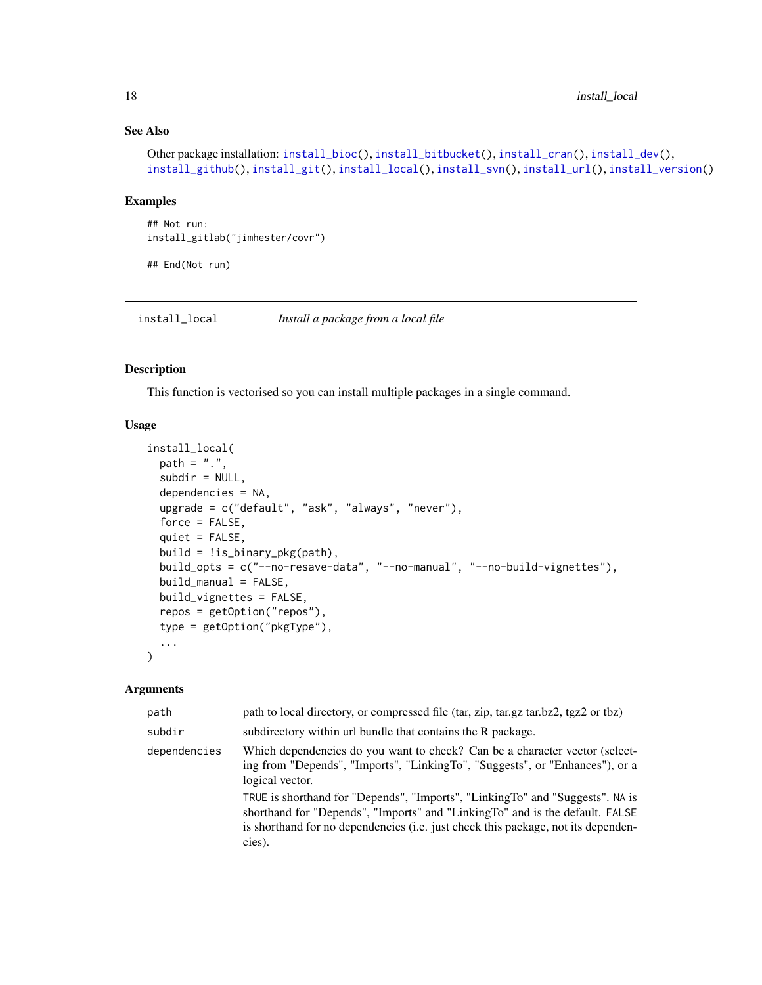### See Also

```
Other package installation: install_bioc(), install_bitbucket(), install_cran(), install_dev(),
install_github(install_git(install_local(install_svn(install_url(install_version()
```
### Examples

```
## Not run:
install_gitlab("jimhester/covr")
```
## End(Not run)

<span id="page-17-1"></span>install\_local *Install a package from a local file*

### Description

This function is vectorised so you can install multiple packages in a single command.

### Usage

```
install_local(
 path = ".'',subdir = NULL,dependencies = NA,
 upgrade = c("default", "ask", "always", "never"),
  force = FALSE,quiet = FALSE,
 build = !is_binary_pkg(path),
 build_opts = c("--no-resave-data", "--no-manual", "--no-build-vignettes"),
 build_manual = FALSE,
 build_vignettes = FALSE,
  repos = getOption("repos"),
  type = getOption("pkgType"),
  ...
)
```

| path         | path to local directory, or compressed file (tar, zip, tar.gz tar.bz2, tgz2 or tbz)                                                                                                                                                                          |
|--------------|--------------------------------------------------------------------------------------------------------------------------------------------------------------------------------------------------------------------------------------------------------------|
| subdir       | subdirectory within url bundle that contains the R package.                                                                                                                                                                                                  |
| dependencies | Which dependencies do you want to check? Can be a character vector (select-<br>ing from "Depends", "Imports", "LinkingTo", "Suggests", or "Enhances"), or a<br>logical vector.                                                                               |
|              | TRUE is shorthand for "Depends", "Imports", "LinkingTo" and "Suggests". NA is<br>shorthand for "Depends", "Imports" and "LinkingTo" and is the default. FALSE<br>is shorthand for no dependencies (i.e. just check this package, not its dependen-<br>cies). |

<span id="page-17-0"></span>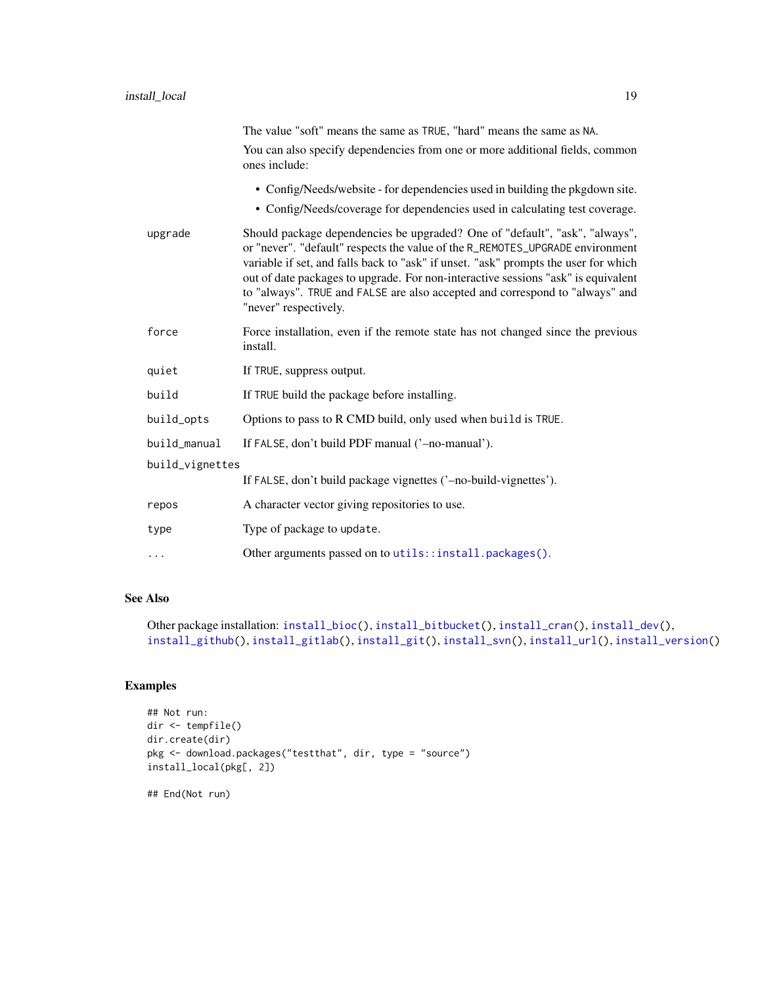<span id="page-18-0"></span>

|                 | The value "soft" means the same as TRUE, "hard" means the same as NA.                                                                                                                                                                                                                                                                                                                                                                             |
|-----------------|---------------------------------------------------------------------------------------------------------------------------------------------------------------------------------------------------------------------------------------------------------------------------------------------------------------------------------------------------------------------------------------------------------------------------------------------------|
|                 | You can also specify dependencies from one or more additional fields, common<br>ones include:                                                                                                                                                                                                                                                                                                                                                     |
|                 | • Config/Needs/website - for dependencies used in building the pkgdown site.                                                                                                                                                                                                                                                                                                                                                                      |
|                 | • Config/Needs/coverage for dependencies used in calculating test coverage.                                                                                                                                                                                                                                                                                                                                                                       |
| upgrade         | Should package dependencies be upgraded? One of "default", "ask", "always",<br>or "never". "default" respects the value of the R_REMOTES_UPGRADE environment<br>variable if set, and falls back to "ask" if unset. "ask" prompts the user for which<br>out of date packages to upgrade. For non-interactive sessions "ask" is equivalent<br>to "always". TRUE and FALSE are also accepted and correspond to "always" and<br>"never" respectively. |
| force           | Force installation, even if the remote state has not changed since the previous<br>install.                                                                                                                                                                                                                                                                                                                                                       |
| quiet           | If TRUE, suppress output.                                                                                                                                                                                                                                                                                                                                                                                                                         |
| build           | If TRUE build the package before installing.                                                                                                                                                                                                                                                                                                                                                                                                      |
| build_opts      | Options to pass to R CMD build, only used when build is TRUE.                                                                                                                                                                                                                                                                                                                                                                                     |
| build_manual    | If FALSE, don't build PDF manual ('-no-manual').                                                                                                                                                                                                                                                                                                                                                                                                  |
| build_vignettes |                                                                                                                                                                                                                                                                                                                                                                                                                                                   |
|                 | If FALSE, don't build package vignettes ('-no-build-vignettes').                                                                                                                                                                                                                                                                                                                                                                                  |
| repos           | A character vector giving repositories to use.                                                                                                                                                                                                                                                                                                                                                                                                    |
| type            | Type of package to update.                                                                                                                                                                                                                                                                                                                                                                                                                        |
| .               | Other arguments passed on to utils::install.packages().                                                                                                                                                                                                                                                                                                                                                                                           |

### See Also

```
Other package installation: install_bioc(), install_bitbucket(), install_cran(), install_dev(),
install_github(), install_gitlab(), install_git(), install_svn(), install_url(), install_version()
```
### Examples

```
## Not run:
dir <- tempfile()
dir.create(dir)
pkg <- download.packages("testthat", dir, type = "source")
install_local(pkg[, 2])
```
## End(Not run)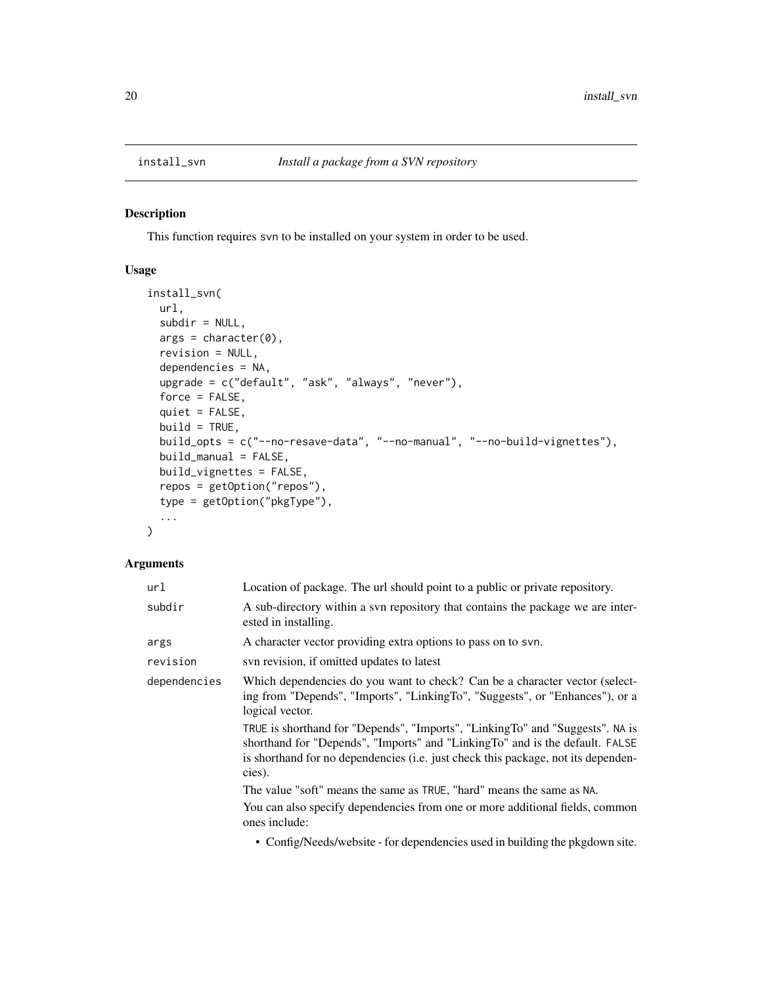<span id="page-19-1"></span><span id="page-19-0"></span>

### Description

This function requires svn to be installed on your system in order to be used.

### Usage

```
install_svn(
 url,
 subdir = NULL,args = character(0),
 revision = NULL,
 dependencies = NA,
 upgrade = c("default", "ask", "always", "never"),
 force = FALSE,quiet = FALSE,
 build = TRUE,build_opts = c("--no-resave-data", "--no-manual", "--no-build-vignettes"),
 build_manual = FALSE,
 build_vignettes = FALSE,
 repos = getOption("repos"),
 type = getOption("pkgType"),
  ...
)
```

| url          | Location of package. The url should point to a public or private repository.                                                                                                                                                                                 |  |
|--------------|--------------------------------------------------------------------------------------------------------------------------------------------------------------------------------------------------------------------------------------------------------------|--|
| subdir       | A sub-directory within a syn repository that contains the package we are inter-<br>ested in installing.                                                                                                                                                      |  |
| args         | A character vector providing extra options to pass on to svn.                                                                                                                                                                                                |  |
| revision     | svn revision, if omitted updates to latest                                                                                                                                                                                                                   |  |
| dependencies | Which dependencies do you want to check? Can be a character vector (select-<br>ing from "Depends", "Imports", "LinkingTo", "Suggests", or "Enhances"), or a<br>logical vector.                                                                               |  |
|              | TRUE is shorthand for "Depends", "Imports", "LinkingTo" and "Suggests". NA is<br>shorthand for "Depends", "Imports" and "LinkingTo" and is the default. FALSE<br>is shorthand for no dependencies (i.e. just check this package, not its dependen-<br>cies). |  |
|              | The value "soft" means the same as TRUE, "hard" means the same as NA.                                                                                                                                                                                        |  |
|              | You can also specify dependencies from one or more additional fields, common<br>ones include:                                                                                                                                                                |  |
|              | • Config/Needs/website - for dependencies used in building the pkgdown site.                                                                                                                                                                                 |  |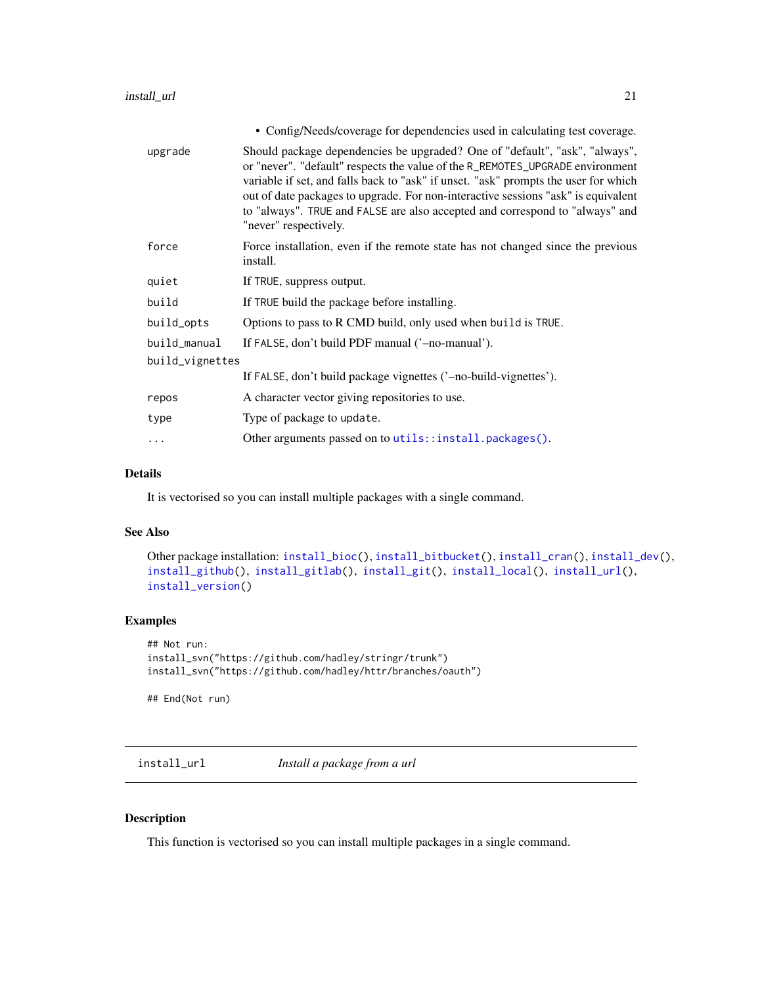<span id="page-20-0"></span>

|                 | • Config/Needs/coverage for dependencies used in calculating test coverage.                                                                                                                                                                                                                                                                                                                                                                       |
|-----------------|---------------------------------------------------------------------------------------------------------------------------------------------------------------------------------------------------------------------------------------------------------------------------------------------------------------------------------------------------------------------------------------------------------------------------------------------------|
| upgrade         | Should package dependencies be upgraded? One of "default", "ask", "always",<br>or "never". "default" respects the value of the R_REMOTES_UPGRADE environment<br>variable if set, and falls back to "ask" if unset. "ask" prompts the user for which<br>out of date packages to upgrade. For non-interactive sessions "ask" is equivalent<br>to "always". TRUE and FALSE are also accepted and correspond to "always" and<br>"never" respectively. |
| force           | Force installation, even if the remote state has not changed since the previous<br>install.                                                                                                                                                                                                                                                                                                                                                       |
| quiet           | If TRUE, suppress output.                                                                                                                                                                                                                                                                                                                                                                                                                         |
| build           | If TRUE build the package before installing.                                                                                                                                                                                                                                                                                                                                                                                                      |
| build_opts      | Options to pass to R CMD build, only used when build is TRUE.                                                                                                                                                                                                                                                                                                                                                                                     |
| build_manual    | If FALSE, don't build PDF manual ('-no-manual').                                                                                                                                                                                                                                                                                                                                                                                                  |
| build_vignettes |                                                                                                                                                                                                                                                                                                                                                                                                                                                   |
|                 | If FALSE, don't build package vignettes ('-no-build-vignettes').                                                                                                                                                                                                                                                                                                                                                                                  |
| repos           | A character vector giving repositories to use.                                                                                                                                                                                                                                                                                                                                                                                                    |
| type            | Type of package to update.                                                                                                                                                                                                                                                                                                                                                                                                                        |
| .               | Other arguments passed on to utils::install.packages().                                                                                                                                                                                                                                                                                                                                                                                           |
|                 |                                                                                                                                                                                                                                                                                                                                                                                                                                                   |

### Details

It is vectorised so you can install multiple packages with a single command.

### See Also

```
Other package installation: install_bioc(), install_bitbucket(), install_cran(), install_dev(),
install_github(), install_gitlab(), install_git(), install_local(), install_url(),
install_version()
```
### Examples

```
## Not run:
install_svn("https://github.com/hadley/stringr/trunk")
install_svn("https://github.com/hadley/httr/branches/oauth")
```
## End(Not run)

<span id="page-20-1"></span>install\_url *Install a package from a url*

### Description

This function is vectorised so you can install multiple packages in a single command.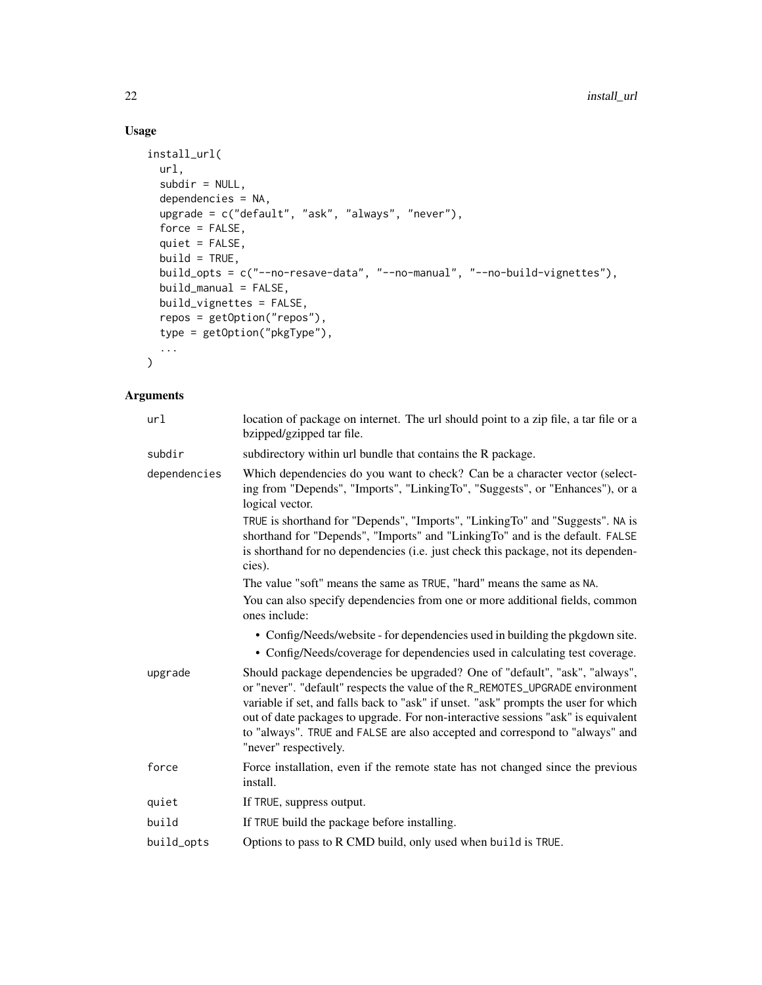### Usage

```
install_url(
 url,
  subdir = NULL,
 dependencies = NA,
 upgrade = c("default", "ask", "always", "never"),
 force = FALSE,
 quiet = FALSE,
 build = TRUE,build_opts = c("--no-resave-data", "--no-manual", "--no-build-vignettes"),
 build_manual = FALSE,
 build_vignettes = FALSE,
 repos = getOption("repos"),
  type = getOption("pkgType"),
  ...
\mathcal{L}
```

| url          | location of package on internet. The url should point to a zip file, a tar file or a<br>bzipped/gzipped tar file.                                                                                                                                                                                                                                                                                                                                 |
|--------------|---------------------------------------------------------------------------------------------------------------------------------------------------------------------------------------------------------------------------------------------------------------------------------------------------------------------------------------------------------------------------------------------------------------------------------------------------|
| subdir       | subdirectory within url bundle that contains the R package.                                                                                                                                                                                                                                                                                                                                                                                       |
| dependencies | Which dependencies do you want to check? Can be a character vector (select-<br>ing from "Depends", "Imports", "LinkingTo", "Suggests", or "Enhances"), or a<br>logical vector.                                                                                                                                                                                                                                                                    |
|              | TRUE is shorthand for "Depends", "Imports", "LinkingTo" and "Suggests". NA is<br>shorthand for "Depends", "Imports" and "LinkingTo" and is the default. FALSE<br>is shorthand for no dependencies (i.e. just check this package, not its dependen-<br>cies).                                                                                                                                                                                      |
|              | The value "soft" means the same as TRUE, "hard" means the same as NA.                                                                                                                                                                                                                                                                                                                                                                             |
|              | You can also specify dependencies from one or more additional fields, common<br>ones include:                                                                                                                                                                                                                                                                                                                                                     |
|              | • Config/Needs/website - for dependencies used in building the pkgdown site.<br>• Config/Needs/coverage for dependencies used in calculating test coverage.                                                                                                                                                                                                                                                                                       |
| upgrade      | Should package dependencies be upgraded? One of "default", "ask", "always",<br>or "never". "default" respects the value of the R_REMOTES_UPGRADE environment<br>variable if set, and falls back to "ask" if unset. "ask" prompts the user for which<br>out of date packages to upgrade. For non-interactive sessions "ask" is equivalent<br>to "always". TRUE and FALSE are also accepted and correspond to "always" and<br>"never" respectively. |
| force        | Force installation, even if the remote state has not changed since the previous<br>install.                                                                                                                                                                                                                                                                                                                                                       |
| quiet        | If TRUE, suppress output.                                                                                                                                                                                                                                                                                                                                                                                                                         |
| build        | If TRUE build the package before installing.                                                                                                                                                                                                                                                                                                                                                                                                      |
| build_opts   | Options to pass to R CMD build, only used when build is TRUE.                                                                                                                                                                                                                                                                                                                                                                                     |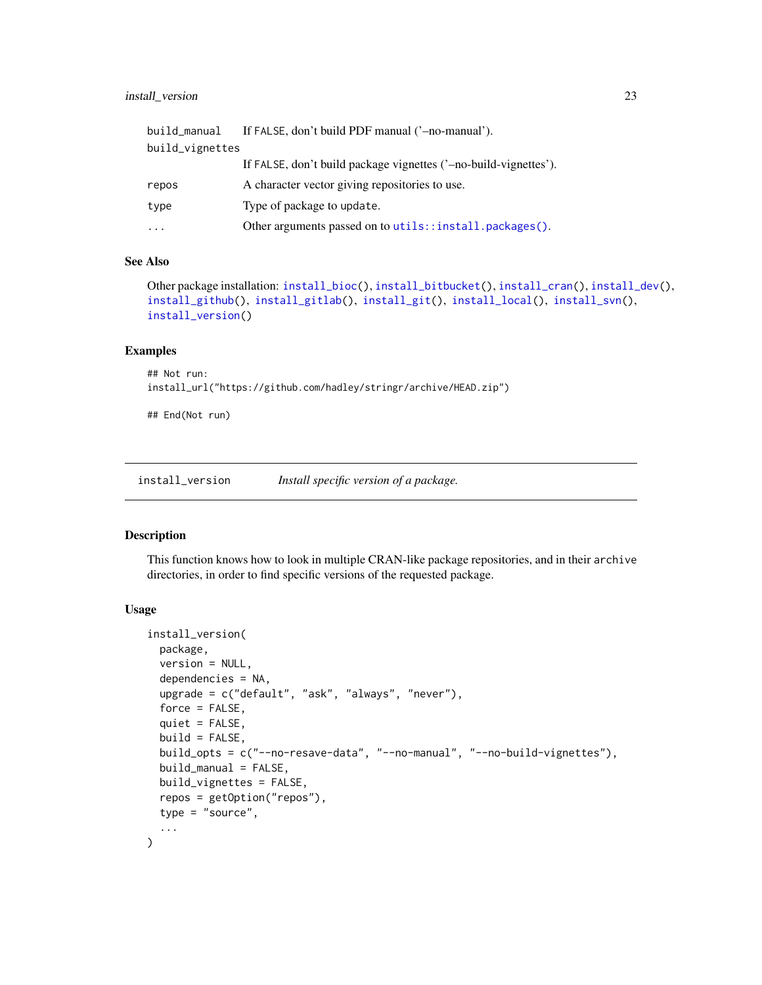### <span id="page-22-0"></span>install\_version 23

| build_manual    | If FALSE, don't build PDF manual ('-no-manual').                 |
|-----------------|------------------------------------------------------------------|
| build_vignettes |                                                                  |
|                 | If FALSE, don't build package vignettes ('-no-build-vignettes'). |
| repos           | A character vector giving repositories to use.                   |
| type            | Type of package to update.                                       |
| $\cdots$        | Other arguments passed on to utils::install.packages().          |

#### See Also

```
Other package installation: install_bioc(), install_bitbucket(), install_cran(), install_dev(),
install_github(), install_gitlab(), install_git(), install_local(), install_svn(),
install_version()
```
#### Examples

```
## Not run:
install_url("https://github.com/hadley/stringr/archive/HEAD.zip")
```
## End(Not run)

<span id="page-22-1"></span>install\_version *Install specific version of a package.*

### Description

This function knows how to look in multiple CRAN-like package repositories, and in their archive directories, in order to find specific versions of the requested package.

#### Usage

```
install_version(
 package,
 version = NULL,
  dependencies = NA,
  upgrade = c("default", "ask", "always", "never"),
  force = FALSE,
  quiet = FALSE,build = FALSE,build_opts = c("--no-resave-data", "--no-manual", "--no-build-vignettes"),
 build\_manual = FALSE,
 build_vignettes = FALSE,
  repos = getOption("repos"),
  type = "source",
  ...
)
```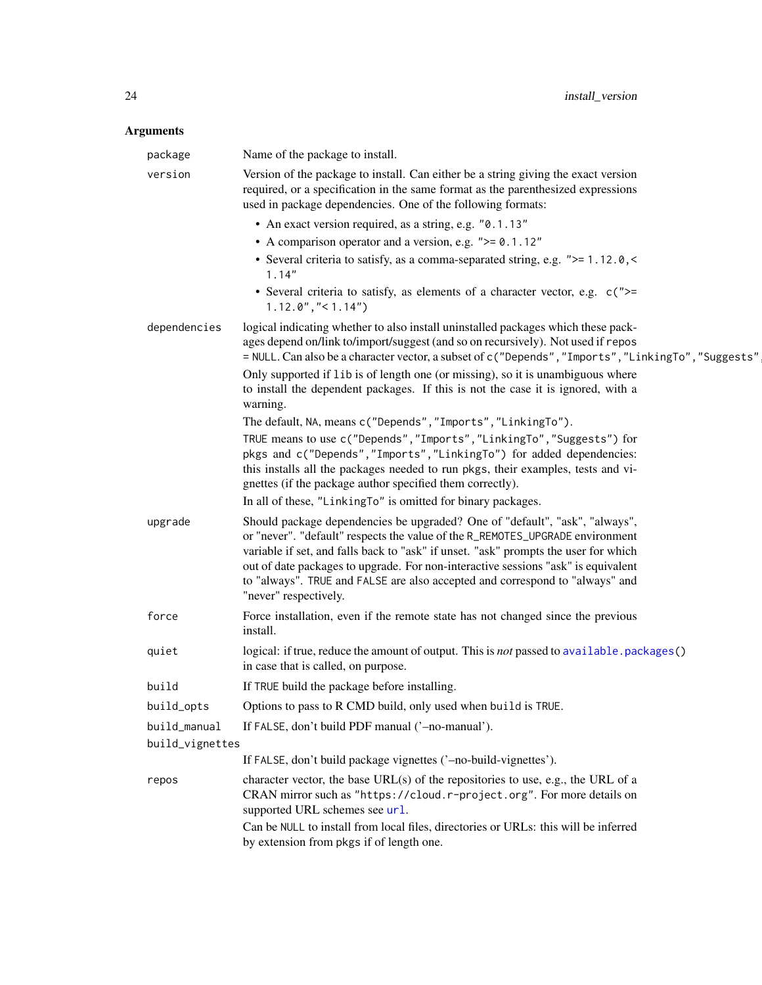<span id="page-23-0"></span>

| package         | Name of the package to install.                                                                                                                                                                                                                                                                                                                                                                                                                   |
|-----------------|---------------------------------------------------------------------------------------------------------------------------------------------------------------------------------------------------------------------------------------------------------------------------------------------------------------------------------------------------------------------------------------------------------------------------------------------------|
| version         | Version of the package to install. Can either be a string giving the exact version<br>required, or a specification in the same format as the parenthesized expressions<br>used in package dependencies. One of the following formats:                                                                                                                                                                                                             |
|                 | • An exact version required, as a string, e.g. "0.1.13"                                                                                                                                                                                                                                                                                                                                                                                           |
|                 | • A comparison operator and a version, e.g. $">= 0.1.12"$                                                                                                                                                                                                                                                                                                                                                                                         |
|                 | • Several criteria to satisfy, as a comma-separated string, e.g. ">= 1.12.0,<<br>1.14"                                                                                                                                                                                                                                                                                                                                                            |
|                 | • Several criteria to satisfy, as elements of a character vector, e.g. c(">=<br>$1.12.0$ ", "< $1.14$ ")                                                                                                                                                                                                                                                                                                                                          |
| dependencies    | logical indicating whether to also install uninstalled packages which these pack-<br>ages depend on/link to/import/suggest (and so on recursively). Not used if repos<br>= NULL. Can also be a character vector, a subset of c("Depends", "Imports", "LinkingTo", "Suggests"                                                                                                                                                                      |
|                 | Only supported if 1ib is of length one (or missing), so it is unambiguous where<br>to install the dependent packages. If this is not the case it is ignored, with a<br>warning.                                                                                                                                                                                                                                                                   |
|                 | The default, NA, means c("Depends", "Imports", "LinkingTo").                                                                                                                                                                                                                                                                                                                                                                                      |
|                 | TRUE means to use c("Depends", "Imports", "LinkingTo", "Suggests") for<br>pkgs and c("Depends", "Imports", "LinkingTo") for added dependencies:<br>this installs all the packages needed to run pkgs, their examples, tests and vi-<br>gnettes (if the package author specified them correctly).                                                                                                                                                  |
|                 | In all of these, "LinkingTo" is omitted for binary packages.                                                                                                                                                                                                                                                                                                                                                                                      |
| upgrade         | Should package dependencies be upgraded? One of "default", "ask", "always",<br>or "never". "default" respects the value of the R_REMOTES_UPGRADE environment<br>variable if set, and falls back to "ask" if unset. "ask" prompts the user for which<br>out of date packages to upgrade. For non-interactive sessions "ask" is equivalent<br>to "always". TRUE and FALSE are also accepted and correspond to "always" and<br>"never" respectively. |
| force           | Force installation, even if the remote state has not changed since the previous<br>install.                                                                                                                                                                                                                                                                                                                                                       |
| quiet           | logical: if true, reduce the amount of output. This is not passed to available.packages()<br>in case that is called, on purpose.                                                                                                                                                                                                                                                                                                                  |
| build           | If TRUE build the package before installing.                                                                                                                                                                                                                                                                                                                                                                                                      |
| build_opts      | Options to pass to R CMD build, only used when build is TRUE.                                                                                                                                                                                                                                                                                                                                                                                     |
| build_manual    | If FALSE, don't build PDF manual ('-no-manual').                                                                                                                                                                                                                                                                                                                                                                                                  |
| build_vignettes |                                                                                                                                                                                                                                                                                                                                                                                                                                                   |
|                 | If FALSE, don't build package vignettes ('-no-build-vignettes').                                                                                                                                                                                                                                                                                                                                                                                  |
| repos           | character vector, the base URL(s) of the repositories to use, e.g., the URL of a<br>CRAN mirror such as "https://cloud.r-project.org". For more details on<br>supported URL schemes see url.                                                                                                                                                                                                                                                      |
|                 | Can be NULL to install from local files, directories or URLs: this will be inferred<br>by extension from pkgs if of length one.                                                                                                                                                                                                                                                                                                                   |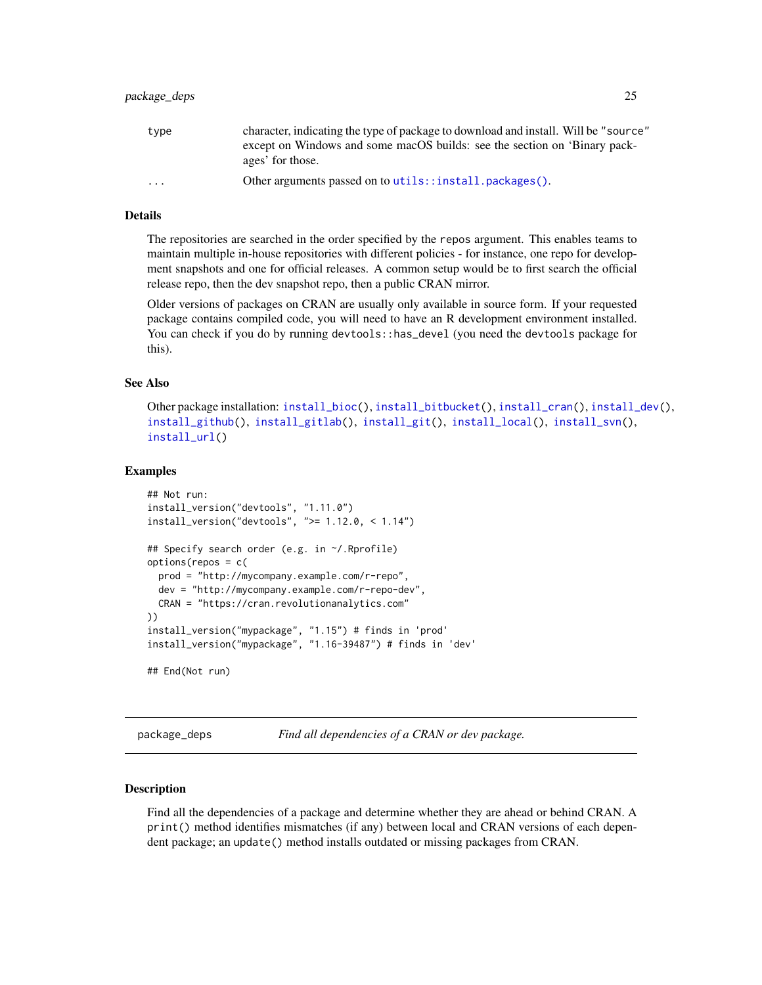### <span id="page-24-0"></span>Details

The repositories are searched in the order specified by the repos argument. This enables teams to maintain multiple in-house repositories with different policies - for instance, one repo for development snapshots and one for official releases. A common setup would be to first search the official release repo, then the dev snapshot repo, then a public CRAN mirror.

Older versions of packages on CRAN are usually only available in source form. If your requested package contains compiled code, you will need to have an R development environment installed. You can check if you do by running devtools::has\_devel (you need the devtools package for this).

#### See Also

Other package installation: [install\\_bioc\(](#page-3-1)), [install\\_bitbucket\(](#page-5-1)), [install\\_cran\(](#page-7-1)), [install\\_dev\(](#page-10-1)), [install\\_github\(](#page-13-1)), [install\\_gitlab\(](#page-15-1)), [install\\_git\(](#page-11-1)), [install\\_local\(](#page-17-1)), [install\\_svn\(](#page-19-1)), [install\\_url\(](#page-20-1))

### Examples

```
## Not run:
install_version("devtools", "1.11.0")
install_version("devtools", ">= 1.12.0, < 1.14")
## Specify search order (e.g. in ~/.Rprofile)
options(repos = c(
 prod = "http://mycompany.example.com/r-repo",
 dev = "http://mycompany.example.com/r-repo-dev",
 CRAN = "https://cran.revolutionanalytics.com"
))
install_version("mypackage", "1.15") # finds in 'prod'
install_version("mypackage", "1.16-39487") # finds in 'dev'
## End(Not run)
```
<span id="page-24-1"></span>package\_deps *Find all dependencies of a CRAN or dev package.*

#### Description

Find all the dependencies of a package and determine whether they are ahead or behind CRAN. A print() method identifies mismatches (if any) between local and CRAN versions of each dependent package; an update() method installs outdated or missing packages from CRAN.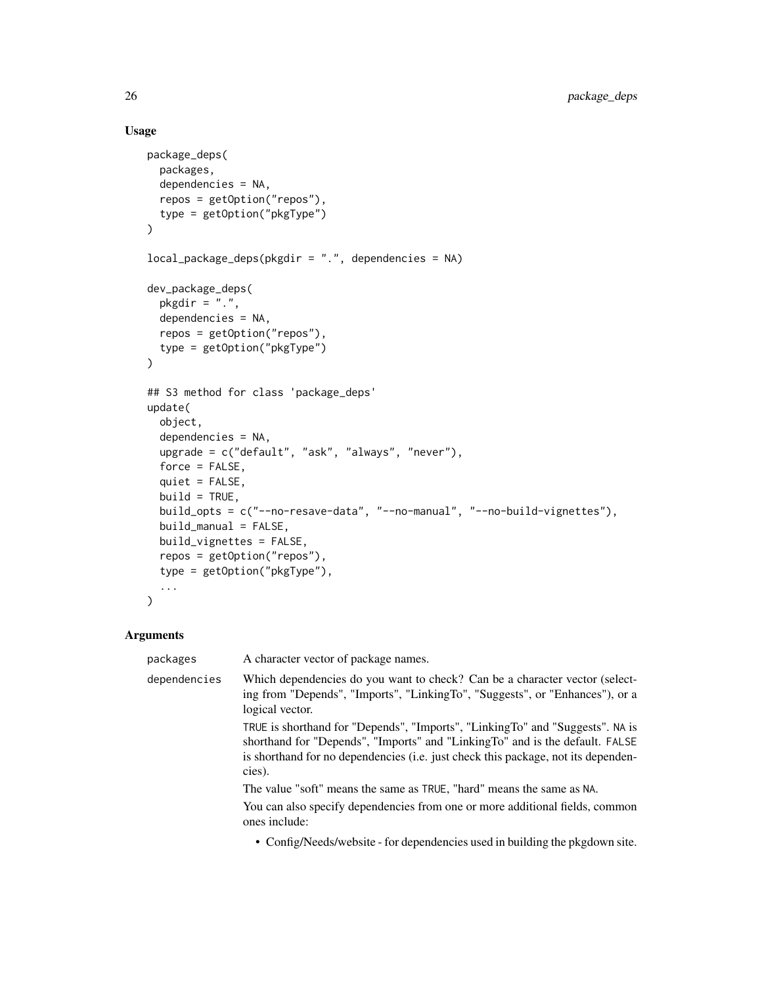### Usage

```
package_deps(
 packages,
  dependencies = NA,
  repos = getOption("repos"),
  type = getOption("pkgType")
)
local_package_deps(pkgdir = ".", dependencies = NA)
dev_package_deps(
 pkgdir = ".".dependencies = NA,
  repos = getOption("repos"),
  type = getOption("pkgType")
\mathcal{L}## S3 method for class 'package_deps'
update(
 object,
  dependencies = NA,
  upgrade = c("default", "ask", "always", "never"),
  force = FALSE,
  quiet = FALSE,
 build = TRUE,build_opts = c("--no-resave-data", "--no-manual", "--no-build-vignettes"),
 build_manual = FALSE,
 build_vignettes = FALSE,
  repos = getOption("repos"),
  type = getOption("pkgType"),
  ...
\mathcal{L}
```
### Arguments

| packages     | A character vector of package names.                                                                                                                                                                                                                         |
|--------------|--------------------------------------------------------------------------------------------------------------------------------------------------------------------------------------------------------------------------------------------------------------|
| dependencies | Which dependencies do you want to check? Can be a character vector (select-<br>ing from "Depends", "Imports", "LinkingTo", "Suggests", or "Enhances"), or a<br>logical vector.                                                                               |
|              | TRUE is shorthand for "Depends", "Imports", "LinkingTo" and "Suggests". NA is<br>shorthand for "Depends", "Imports" and "LinkingTo" and is the default. FALSE<br>is shorthand for no dependencies (i.e. just check this package, not its dependen-<br>cies). |
|              | The value "soft" means the same as TRUE, "hard" means the same as NA.                                                                                                                                                                                        |
|              | You can also specify dependencies from one or more additional fields, common<br>ones include:                                                                                                                                                                |
|              | $\sim$ 0.00 mHz aleberta in the dependence of the control in the U.S. and a control of the set                                                                                                                                                               |

• Config/Needs/website - for dependencies used in building the pkgdown site.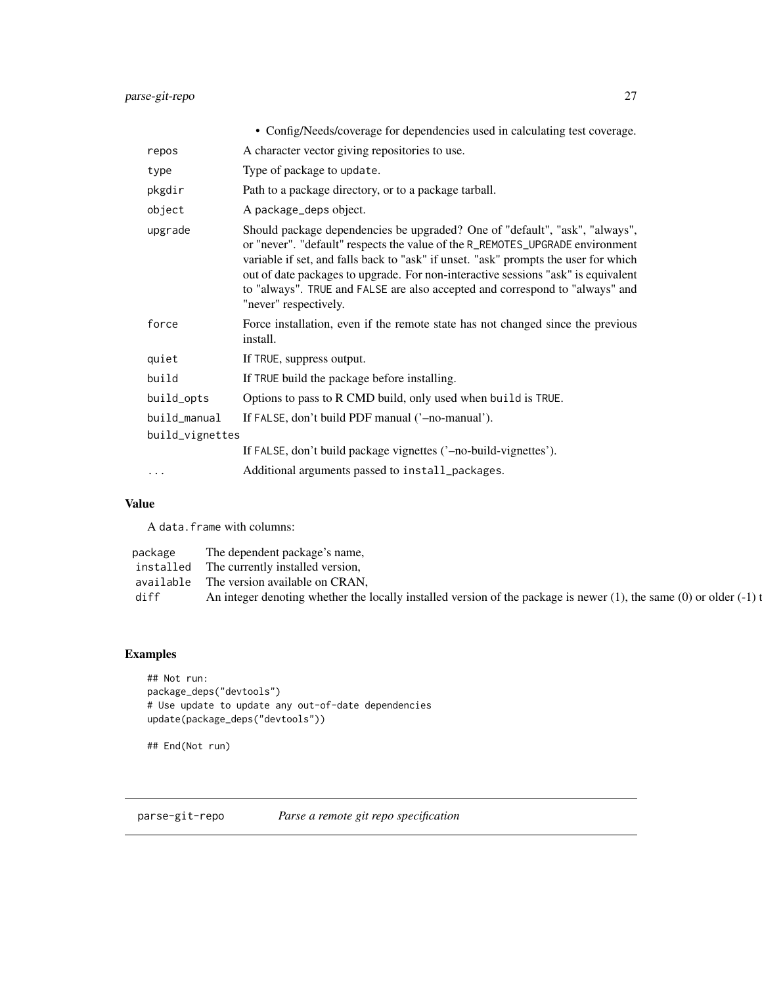<span id="page-26-0"></span>

|                 | • Config/Needs/coverage for dependencies used in calculating test coverage.                                                                                                                                                                                                                                                                                                                                                                       |  |
|-----------------|---------------------------------------------------------------------------------------------------------------------------------------------------------------------------------------------------------------------------------------------------------------------------------------------------------------------------------------------------------------------------------------------------------------------------------------------------|--|
| repos           | A character vector giving repositories to use.                                                                                                                                                                                                                                                                                                                                                                                                    |  |
| type            | Type of package to update.                                                                                                                                                                                                                                                                                                                                                                                                                        |  |
| pkgdir          | Path to a package directory, or to a package tarball.                                                                                                                                                                                                                                                                                                                                                                                             |  |
| object          | A package_deps object.                                                                                                                                                                                                                                                                                                                                                                                                                            |  |
| upgrade         | Should package dependencies be upgraded? One of "default", "ask", "always",<br>or "never". "default" respects the value of the R_REMOTES_UPGRADE environment<br>variable if set, and falls back to "ask" if unset. "ask" prompts the user for which<br>out of date packages to upgrade. For non-interactive sessions "ask" is equivalent<br>to "always". TRUE and FALSE are also accepted and correspond to "always" and<br>"never" respectively. |  |
| force           | Force installation, even if the remote state has not changed since the previous<br>install.                                                                                                                                                                                                                                                                                                                                                       |  |
| quiet           | If TRUE, suppress output.                                                                                                                                                                                                                                                                                                                                                                                                                         |  |
| build           | If TRUE build the package before installing.                                                                                                                                                                                                                                                                                                                                                                                                      |  |
| build_opts      | Options to pass to R CMD build, only used when build is TRUE.                                                                                                                                                                                                                                                                                                                                                                                     |  |
| build_manual    | If FALSE, don't build PDF manual ('-no-manual').                                                                                                                                                                                                                                                                                                                                                                                                  |  |
| build_vignettes |                                                                                                                                                                                                                                                                                                                                                                                                                                                   |  |
|                 | If FALSE, don't build package vignettes ('-no-build-vignettes').                                                                                                                                                                                                                                                                                                                                                                                  |  |
|                 | Additional arguments passed to install_packages.                                                                                                                                                                                                                                                                                                                                                                                                  |  |

### Value

A data.frame with columns:

| package | The dependent package's name,                                                                                              |
|---------|----------------------------------------------------------------------------------------------------------------------------|
|         | installed The currently installed version,                                                                                 |
|         | available The version available on CRAN,                                                                                   |
| diff    | An integer denoting whether the locally installed version of the package is newer $(1)$ , the same $(0)$ or older $(-1)$ t |

### Examples

```
## Not run:
package_deps("devtools")
# Use update to update any out-of-date dependencies
update(package_deps("devtools"))
```
## End(Not run)

parse-git-repo *Parse a remote git repo specification*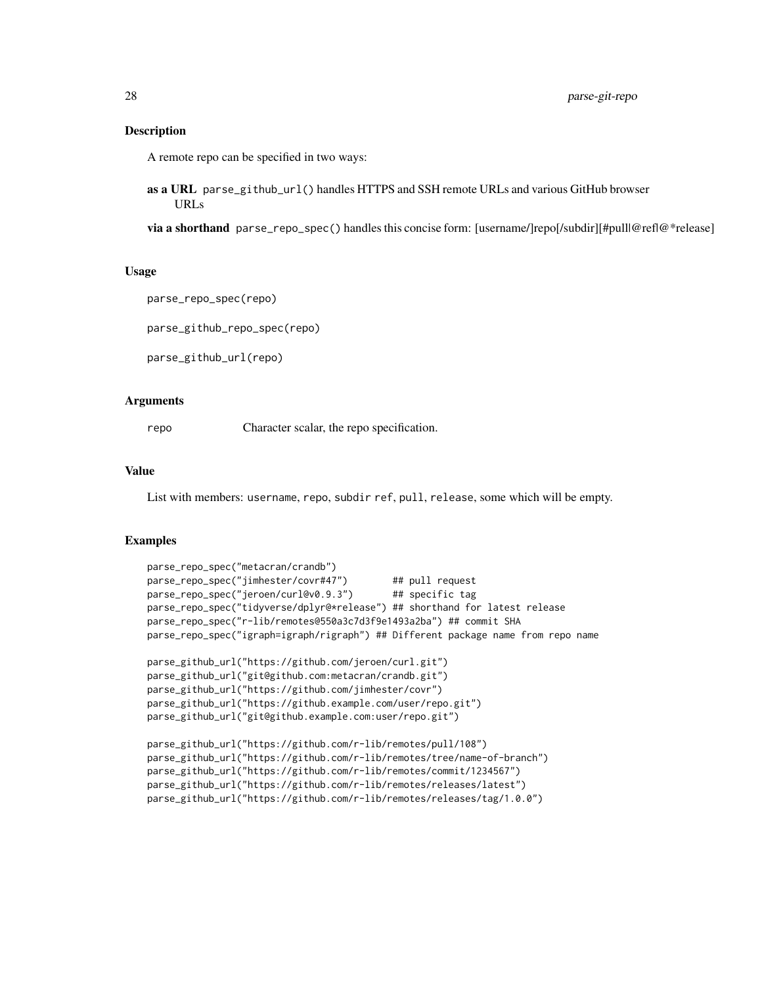### Description

A remote repo can be specified in two ways:

as a URL parse\_github\_url() handles HTTPS and SSH remote URLs and various GitHub browser URLs

via a shorthand parse\_repo\_spec() handles this concise form: [username/]repo[/subdir][#pull@ref|@\*release]

### Usage

```
parse_repo_spec(repo)
```
parse\_github\_repo\_spec(repo)

parse\_github\_url(repo)

### **Arguments**

repo Character scalar, the repo specification.

### Value

List with members: username, repo, subdir ref, pull, release, some which will be empty.

### Examples

```
parse_repo_spec("metacran/crandb")
parse_repo_spec("jimhester/covr#47") ## pull request
parse_repo_spec("jeroen/curl@v0.9.3") ## specific tag
parse_repo_spec("tidyverse/dplyr@*release") ## shorthand for latest release
parse_repo_spec("r-lib/remotes@550a3c7d3f9e1493a2ba") ## commit SHA
parse_repo_spec("igraph=igraph/rigraph") ## Different package name from repo name
parse_github_url("https://github.com/jeroen/curl.git")
parse_github_url("git@github.com:metacran/crandb.git")
parse_github_url("https://github.com/jimhester/covr")
parse_github_url("https://github.example.com/user/repo.git")
parse_github_url("git@github.example.com:user/repo.git")
parse_github_url("https://github.com/r-lib/remotes/pull/108")
parse_github_url("https://github.com/r-lib/remotes/tree/name-of-branch")
parse_github_url("https://github.com/r-lib/remotes/commit/1234567")
parse_github_url("https://github.com/r-lib/remotes/releases/latest")
```
parse\_github\_url("https://github.com/r-lib/remotes/releases/tag/1.0.0")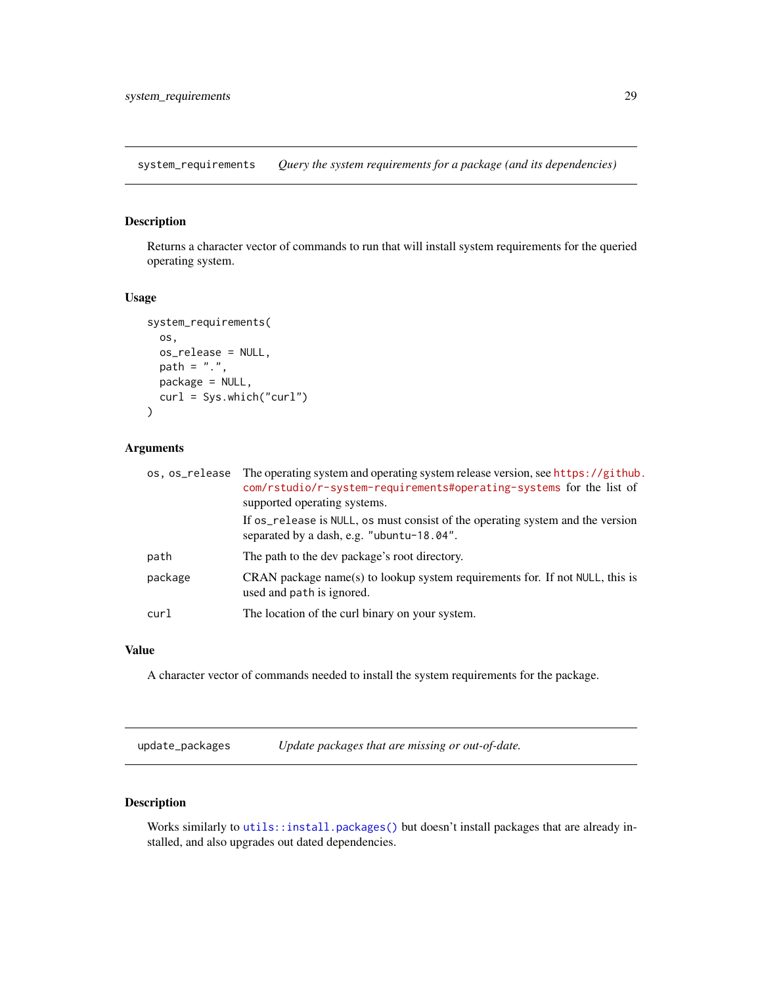<span id="page-28-0"></span>system\_requirements *Query the system requirements for a package (and its dependencies)*

### Description

Returns a character vector of commands to run that will install system requirements for the queried operating system.

#### Usage

```
system_requirements(
  os,
  os_release = NULL,
  path = ".",
  package = NULL,
  curl = Sys.which("curl")
\mathcal{L}
```
### Arguments

| os.os_release | The operating system and operating system release version, see https://github.<br>com/rstudio/r-system-requirements#operating-systems for the list of<br>supported operating systems. |
|---------------|---------------------------------------------------------------------------------------------------------------------------------------------------------------------------------------|
|               | If os_release is NULL, os must consist of the operating system and the version<br>separated by a dash, e.g. "ubuntu-18.04".                                                           |
| path          | The path to the dev package's root directory.                                                                                                                                         |
| package       | CRAN package name(s) to lookup system requirements for. If not NULL, this is<br>used and path is ignored.                                                                             |
| curl          | The location of the curl binary on your system.                                                                                                                                       |

### Value

A character vector of commands needed to install the system requirements for the package.

update\_packages *Update packages that are missing or out-of-date.*

### Description

Works similarly to [utils::install.packages\(\)](#page-0-0) but doesn't install packages that are already installed, and also upgrades out dated dependencies.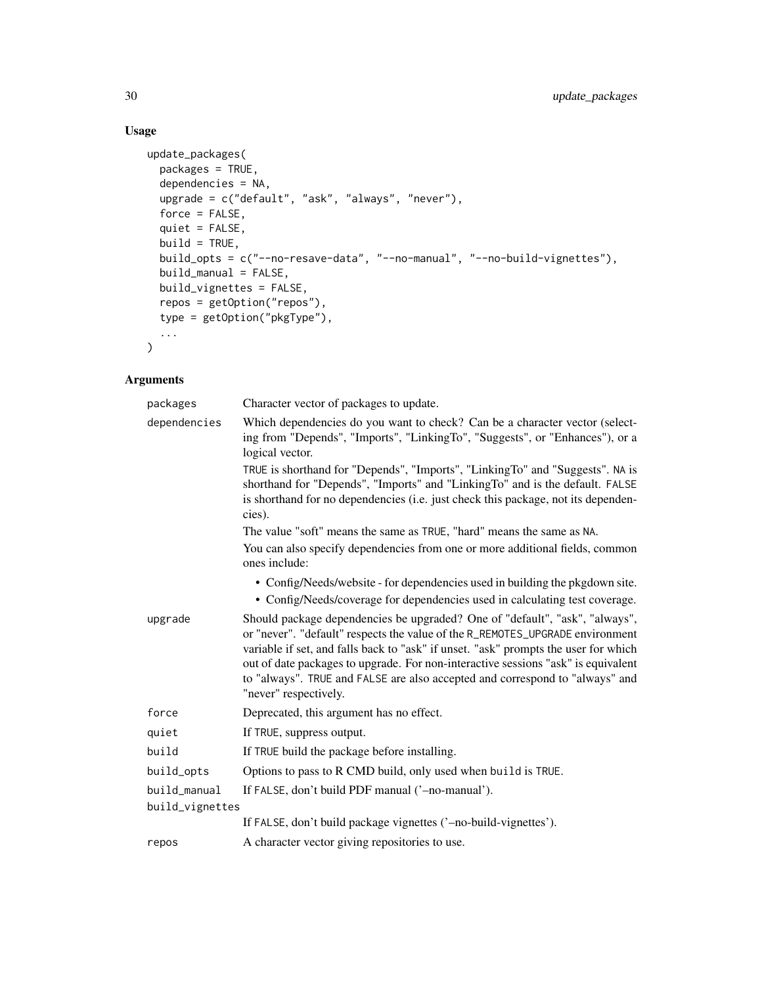### Usage

```
update_packages(
  packages = TRUE,
  dependencies = NA,
  upgrade = c("default", "ask", "always", "never"),
  force = FALSE,
  quiet = FALSE,
  build = TRUE,build_opts = c("--no-resave-data", "--no-manual", "--no-build-vignettes"),
  build_manual = FALSE,
  build_vignettes = FALSE,
  repos = getOption("repos"),
  type = getOption("pkgType"),
  ...
\mathcal{L}
```

| packages        | Character vector of packages to update.                                                                                                                                                                                                                                                                                                                                                                                                           |
|-----------------|---------------------------------------------------------------------------------------------------------------------------------------------------------------------------------------------------------------------------------------------------------------------------------------------------------------------------------------------------------------------------------------------------------------------------------------------------|
| dependencies    | Which dependencies do you want to check? Can be a character vector (select-<br>ing from "Depends", "Imports", "LinkingTo", "Suggests", or "Enhances"), or a<br>logical vector.                                                                                                                                                                                                                                                                    |
|                 | TRUE is shorthand for "Depends", "Imports", "LinkingTo" and "Suggests". NA is<br>shorthand for "Depends", "Imports" and "LinkingTo" and is the default. FALSE<br>is shorthand for no dependencies (i.e. just check this package, not its dependen-<br>cies).                                                                                                                                                                                      |
|                 | The value "soft" means the same as TRUE, "hard" means the same as NA.                                                                                                                                                                                                                                                                                                                                                                             |
|                 | You can also specify dependencies from one or more additional fields, common<br>ones include:                                                                                                                                                                                                                                                                                                                                                     |
|                 | • Config/Needs/website - for dependencies used in building the pkgdown site.                                                                                                                                                                                                                                                                                                                                                                      |
|                 | • Config/Needs/coverage for dependencies used in calculating test coverage.                                                                                                                                                                                                                                                                                                                                                                       |
| upgrade         | Should package dependencies be upgraded? One of "default", "ask", "always",<br>or "never". "default" respects the value of the R_REMOTES_UPGRADE environment<br>variable if set, and falls back to "ask" if unset. "ask" prompts the user for which<br>out of date packages to upgrade. For non-interactive sessions "ask" is equivalent<br>to "always". TRUE and FALSE are also accepted and correspond to "always" and<br>"never" respectively. |
| force           | Deprecated, this argument has no effect.                                                                                                                                                                                                                                                                                                                                                                                                          |
| quiet           | If TRUE, suppress output.                                                                                                                                                                                                                                                                                                                                                                                                                         |
| build           | If TRUE build the package before installing.                                                                                                                                                                                                                                                                                                                                                                                                      |
| build_opts      | Options to pass to R CMD build, only used when build is TRUE.                                                                                                                                                                                                                                                                                                                                                                                     |
| build_manual    | If FALSE, don't build PDF manual ('-no-manual').                                                                                                                                                                                                                                                                                                                                                                                                  |
| build_vignettes |                                                                                                                                                                                                                                                                                                                                                                                                                                                   |
|                 | If FALSE, don't build package vignettes ('-no-build-vignettes').                                                                                                                                                                                                                                                                                                                                                                                  |
| repos           | A character vector giving repositories to use.                                                                                                                                                                                                                                                                                                                                                                                                    |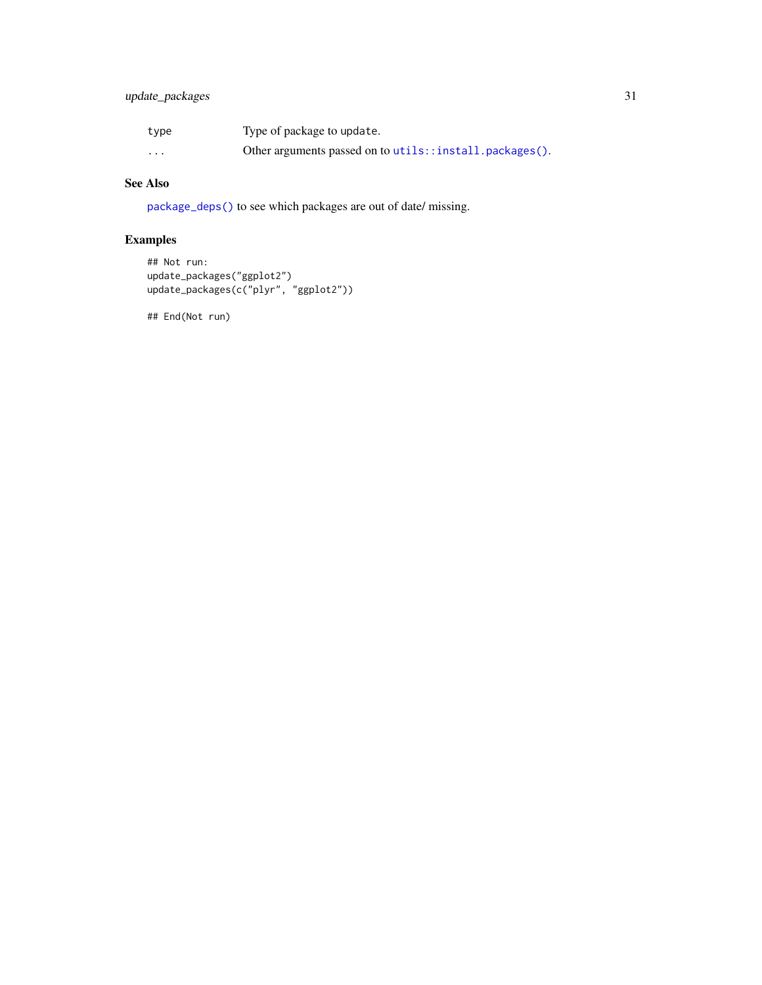### <span id="page-30-0"></span>update\_packages 31

| type     | Type of package to update.                              |
|----------|---------------------------------------------------------|
| $\cdots$ | Other arguments passed on to utils::install.packages(). |

### See Also

[package\\_deps\(\)](#page-24-1) to see which packages are out of date/ missing.

### Examples

```
## Not run:
update_packages("ggplot2")
update_packages(c("plyr", "ggplot2"))
```
## End(Not run)